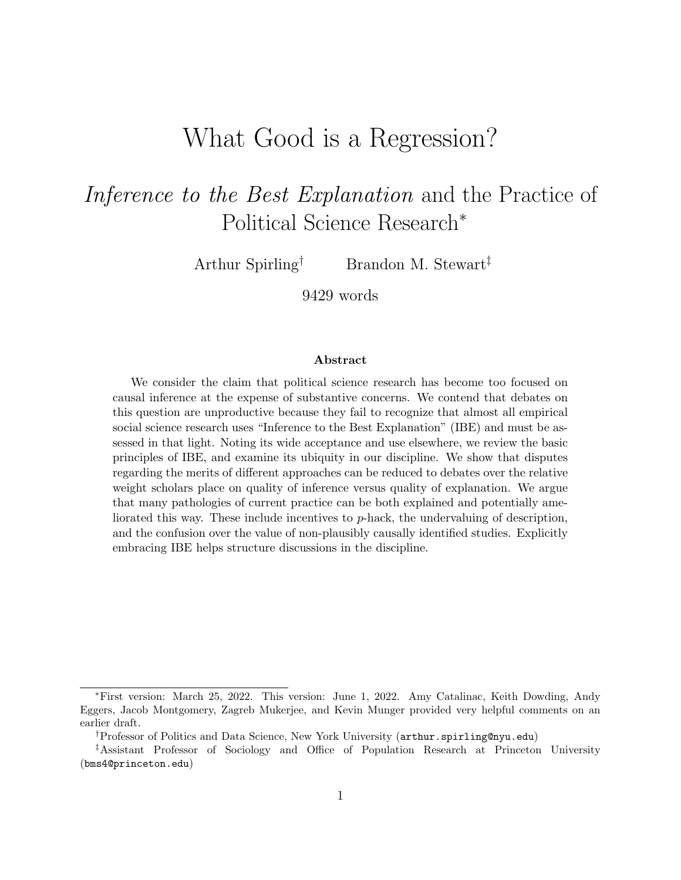# What Good is a Regression?

# Inference to the Best Explanation and the Practice of Political Science Research<sup>∗</sup>

Arthur Spirling<sup>†</sup> Brandon M. Stewart<sup>‡</sup>

9429 words

#### Abstract

We consider the claim that political science research has become too focused on causal inference at the expense of substantive concerns. We contend that debates on this question are unproductive because they fail to recognize that almost all empirical social science research uses "Inference to the Best Explanation" (IBE) and must be assessed in that light. Noting its wide acceptance and use elsewhere, we review the basic principles of IBE, and examine its ubiquity in our discipline. We show that disputes regarding the merits of different approaches can be reduced to debates over the relative weight scholars place on quality of inference versus quality of explanation. We argue that many pathologies of current practice can be both explained and potentially ameliorated this way. These include incentives to p-hack, the undervaluing of description, and the confusion over the value of non-plausibly causally identified studies. Explicitly embracing IBE helps structure discussions in the discipline.

<sup>∗</sup>First version: March 25, 2022. This version: June 1, 2022. Amy Catalinac, Keith Dowding, Andy Eggers, Jacob Montgomery, Zagreb Mukerjee, and Kevin Munger provided very helpful comments on an earlier draft.

<sup>†</sup>Professor of Politics and Data Science, New York University (arthur.spirling@nyu.edu)

<sup>‡</sup>Assistant Professor of Sociology and Office of Population Research at Princeton University (bms4@princeton.edu)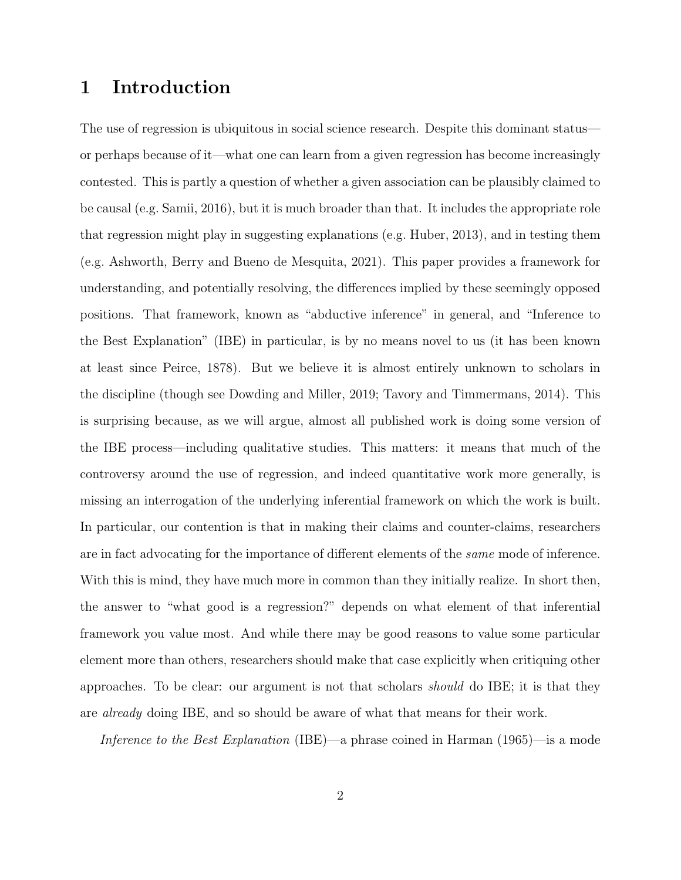## 1 Introduction

The use of regression is ubiquitous in social science research. Despite this dominant status or perhaps because of it—what one can learn from a given regression has become increasingly contested. This is partly a question of whether a given association can be plausibly claimed to be causal (e.g. Samii, 2016), but it is much broader than that. It includes the appropriate role that regression might play in suggesting explanations (e.g. Huber, 2013), and in testing them (e.g. Ashworth, Berry and Bueno de Mesquita, 2021). This paper provides a framework for understanding, and potentially resolving, the differences implied by these seemingly opposed positions. That framework, known as "abductive inference" in general, and "Inference to the Best Explanation" (IBE) in particular, is by no means novel to us (it has been known at least since Peirce, 1878). But we believe it is almost entirely unknown to scholars in the discipline (though see Dowding and Miller, 2019; Tavory and Timmermans, 2014). This is surprising because, as we will argue, almost all published work is doing some version of the IBE process—including qualitative studies. This matters: it means that much of the controversy around the use of regression, and indeed quantitative work more generally, is missing an interrogation of the underlying inferential framework on which the work is built. In particular, our contention is that in making their claims and counter-claims, researchers are in fact advocating for the importance of different elements of the same mode of inference. With this is mind, they have much more in common than they initially realize. In short then, the answer to "what good is a regression?" depends on what element of that inferential framework you value most. And while there may be good reasons to value some particular element more than others, researchers should make that case explicitly when critiquing other approaches. To be clear: our argument is not that scholars should do IBE; it is that they are already doing IBE, and so should be aware of what that means for their work.

Inference to the Best Explanation (IBE)—a phrase coined in Harman (1965)—is a mode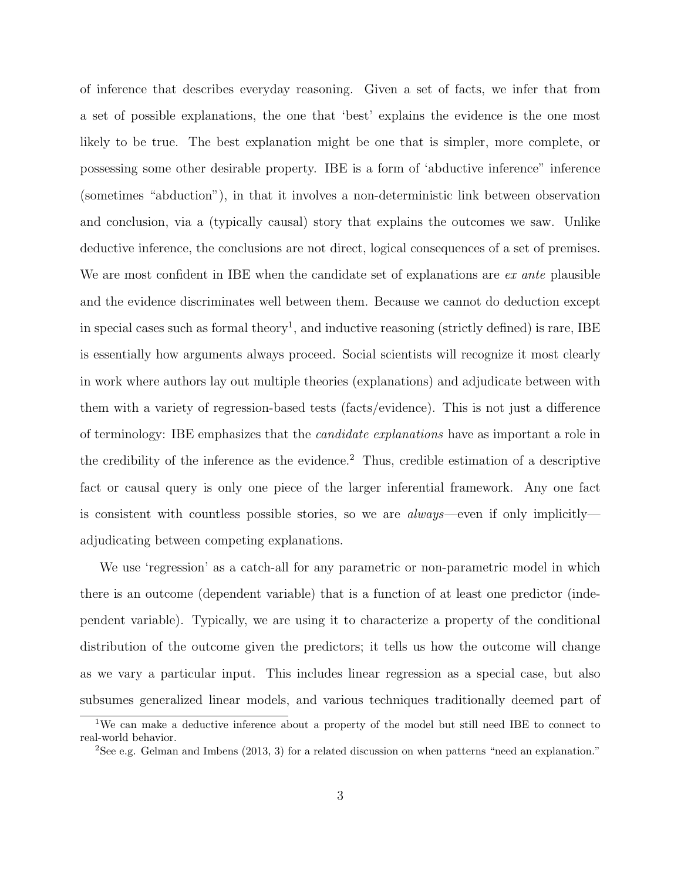of inference that describes everyday reasoning. Given a set of facts, we infer that from a set of possible explanations, the one that 'best' explains the evidence is the one most likely to be true. The best explanation might be one that is simpler, more complete, or possessing some other desirable property. IBE is a form of 'abductive inference" inference (sometimes "abduction"), in that it involves a non-deterministic link between observation and conclusion, via a (typically causal) story that explains the outcomes we saw. Unlike deductive inference, the conclusions are not direct, logical consequences of a set of premises. We are most confident in IBE when the candidate set of explanations are ex ante plausible and the evidence discriminates well between them. Because we cannot do deduction except in special cases such as formal theory<sup>1</sup>, and inductive reasoning (strictly defined) is rare, IBE is essentially how arguments always proceed. Social scientists will recognize it most clearly in work where authors lay out multiple theories (explanations) and adjudicate between with them with a variety of regression-based tests (facts/evidence). This is not just a difference of terminology: IBE emphasizes that the candidate explanations have as important a role in the credibility of the inference as the evidence.<sup>2</sup> Thus, credible estimation of a descriptive fact or causal query is only one piece of the larger inferential framework. Any one fact is consistent with countless possible stories, so we are always—even if only implicitly adjudicating between competing explanations.

We use 'regression' as a catch-all for any parametric or non-parametric model in which there is an outcome (dependent variable) that is a function of at least one predictor (independent variable). Typically, we are using it to characterize a property of the conditional distribution of the outcome given the predictors; it tells us how the outcome will change as we vary a particular input. This includes linear regression as a special case, but also subsumes generalized linear models, and various techniques traditionally deemed part of

<sup>1</sup>We can make a deductive inference about a property of the model but still need IBE to connect to real-world behavior.

<sup>&</sup>lt;sup>2</sup>See e.g. Gelman and Imbens (2013, 3) for a related discussion on when patterns "need an explanation."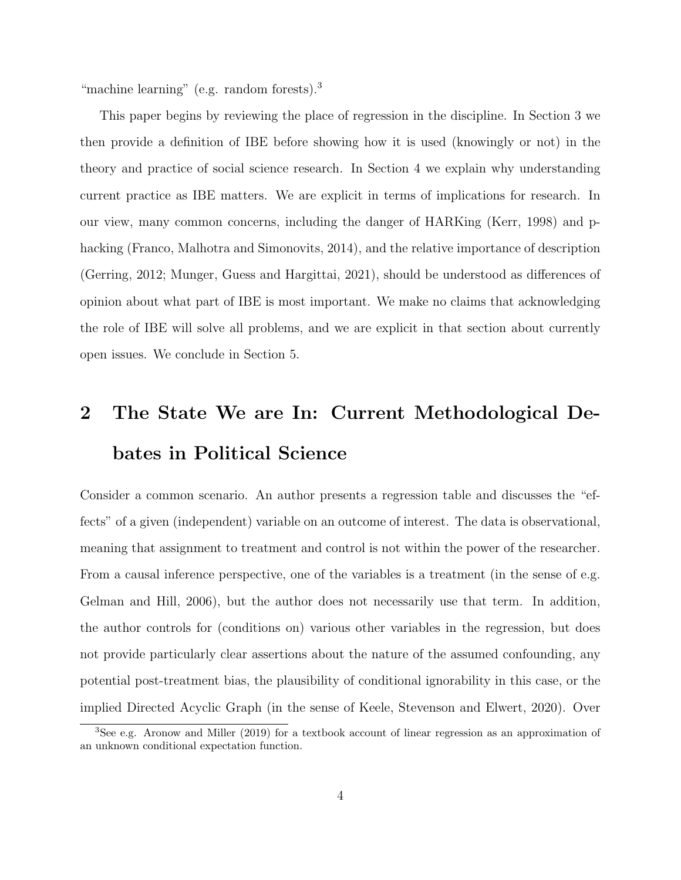"machine learning" (e.g. random forests).<sup>3</sup>

This paper begins by reviewing the place of regression in the discipline. In Section 3 we then provide a definition of IBE before showing how it is used (knowingly or not) in the theory and practice of social science research. In Section 4 we explain why understanding current practice as IBE matters. We are explicit in terms of implications for research. In our view, many common concerns, including the danger of HARKing (Kerr, 1998) and phacking (Franco, Malhotra and Simonovits, 2014), and the relative importance of description (Gerring, 2012; Munger, Guess and Hargittai, 2021), should be understood as differences of opinion about what part of IBE is most important. We make no claims that acknowledging the role of IBE will solve all problems, and we are explicit in that section about currently open issues. We conclude in Section 5.

# 2 The State We are In: Current Methodological Debates in Political Science

Consider a common scenario. An author presents a regression table and discusses the "effects" of a given (independent) variable on an outcome of interest. The data is observational, meaning that assignment to treatment and control is not within the power of the researcher. From a causal inference perspective, one of the variables is a treatment (in the sense of e.g. Gelman and Hill, 2006), but the author does not necessarily use that term. In addition, the author controls for (conditions on) various other variables in the regression, but does not provide particularly clear assertions about the nature of the assumed confounding, any potential post-treatment bias, the plausibility of conditional ignorability in this case, or the implied Directed Acyclic Graph (in the sense of Keele, Stevenson and Elwert, 2020). Over

<sup>3</sup>See e.g. Aronow and Miller (2019) for a textbook account of linear regression as an approximation of an unknown conditional expectation function.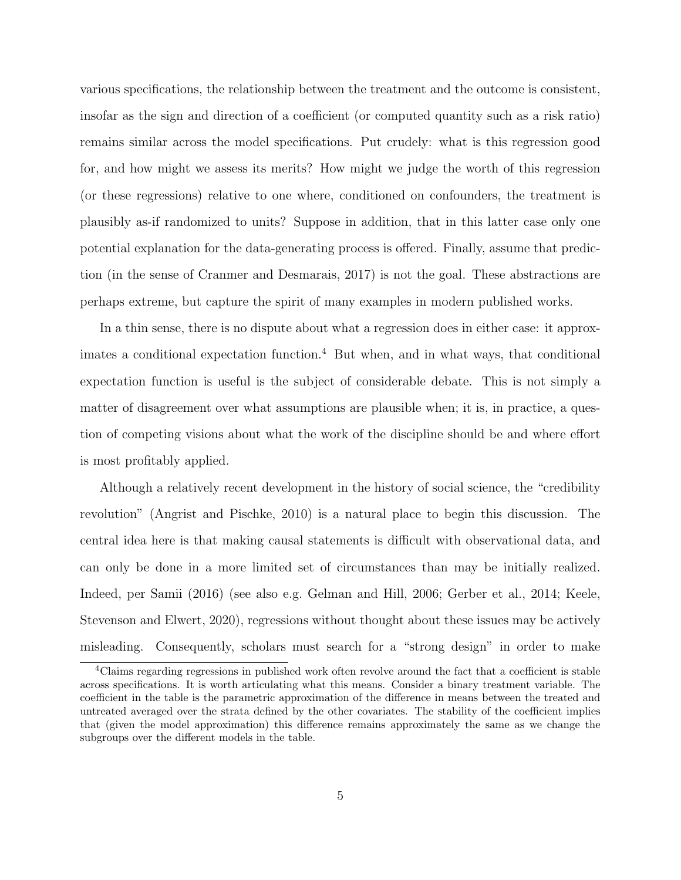various specifications, the relationship between the treatment and the outcome is consistent, insofar as the sign and direction of a coefficient (or computed quantity such as a risk ratio) remains similar across the model specifications. Put crudely: what is this regression good for, and how might we assess its merits? How might we judge the worth of this regression (or these regressions) relative to one where, conditioned on confounders, the treatment is plausibly as-if randomized to units? Suppose in addition, that in this latter case only one potential explanation for the data-generating process is offered. Finally, assume that prediction (in the sense of Cranmer and Desmarais, 2017) is not the goal. These abstractions are perhaps extreme, but capture the spirit of many examples in modern published works.

In a thin sense, there is no dispute about what a regression does in either case: it approximates a conditional expectation function.<sup>4</sup> But when, and in what ways, that conditional expectation function is useful is the subject of considerable debate. This is not simply a matter of disagreement over what assumptions are plausible when; it is, in practice, a question of competing visions about what the work of the discipline should be and where effort is most profitably applied.

Although a relatively recent development in the history of social science, the "credibility revolution" (Angrist and Pischke, 2010) is a natural place to begin this discussion. The central idea here is that making causal statements is difficult with observational data, and can only be done in a more limited set of circumstances than may be initially realized. Indeed, per Samii (2016) (see also e.g. Gelman and Hill, 2006; Gerber et al., 2014; Keele, Stevenson and Elwert, 2020), regressions without thought about these issues may be actively misleading. Consequently, scholars must search for a "strong design" in order to make

<sup>&</sup>lt;sup>4</sup>Claims regarding regressions in published work often revolve around the fact that a coefficient is stable across specifications. It is worth articulating what this means. Consider a binary treatment variable. The coefficient in the table is the parametric approximation of the difference in means between the treated and untreated averaged over the strata defined by the other covariates. The stability of the coefficient implies that (given the model approximation) this difference remains approximately the same as we change the subgroups over the different models in the table.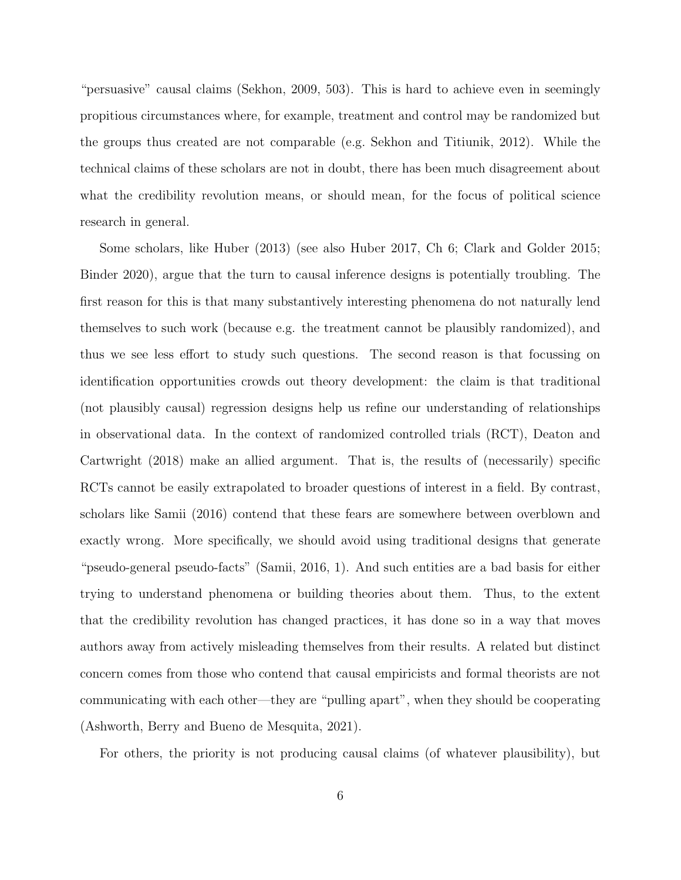"persuasive" causal claims (Sekhon, 2009, 503). This is hard to achieve even in seemingly propitious circumstances where, for example, treatment and control may be randomized but the groups thus created are not comparable (e.g. Sekhon and Titiunik, 2012). While the technical claims of these scholars are not in doubt, there has been much disagreement about what the credibility revolution means, or should mean, for the focus of political science research in general.

Some scholars, like Huber (2013) (see also Huber 2017, Ch 6; Clark and Golder 2015; Binder 2020), argue that the turn to causal inference designs is potentially troubling. The first reason for this is that many substantively interesting phenomena do not naturally lend themselves to such work (because e.g. the treatment cannot be plausibly randomized), and thus we see less effort to study such questions. The second reason is that focussing on identification opportunities crowds out theory development: the claim is that traditional (not plausibly causal) regression designs help us refine our understanding of relationships in observational data. In the context of randomized controlled trials (RCT), Deaton and Cartwright (2018) make an allied argument. That is, the results of (necessarily) specific RCTs cannot be easily extrapolated to broader questions of interest in a field. By contrast, scholars like Samii (2016) contend that these fears are somewhere between overblown and exactly wrong. More specifically, we should avoid using traditional designs that generate "pseudo-general pseudo-facts" (Samii, 2016, 1). And such entities are a bad basis for either trying to understand phenomena or building theories about them. Thus, to the extent that the credibility revolution has changed practices, it has done so in a way that moves authors away from actively misleading themselves from their results. A related but distinct concern comes from those who contend that causal empiricists and formal theorists are not communicating with each other—they are "pulling apart", when they should be cooperating (Ashworth, Berry and Bueno de Mesquita, 2021).

For others, the priority is not producing causal claims (of whatever plausibility), but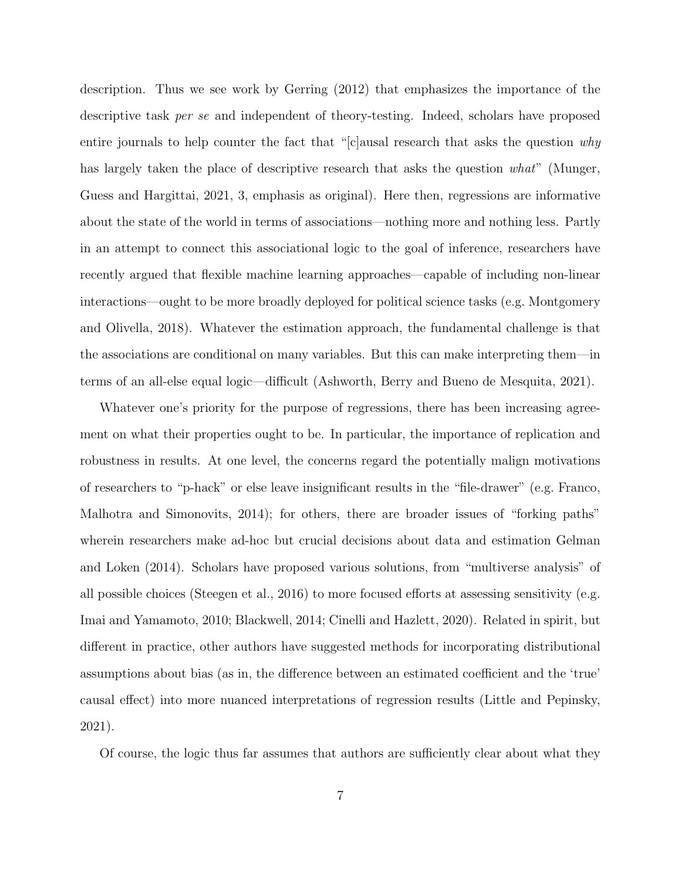description. Thus we see work by Gerring (2012) that emphasizes the importance of the descriptive task per se and independent of theory-testing. Indeed, scholars have proposed entire journals to help counter the fact that "[c]ausal research that asks the question  $why$ has largely taken the place of descriptive research that asks the question what" (Munger, Guess and Hargittai, 2021, 3, emphasis as original). Here then, regressions are informative about the state of the world in terms of associations—nothing more and nothing less. Partly in an attempt to connect this associational logic to the goal of inference, researchers have recently argued that flexible machine learning approaches—capable of including non-linear interactions—ought to be more broadly deployed for political science tasks (e.g. Montgomery and Olivella, 2018). Whatever the estimation approach, the fundamental challenge is that the associations are conditional on many variables. But this can make interpreting them—in terms of an all-else equal logic—difficult (Ashworth, Berry and Bueno de Mesquita, 2021).

Whatever one's priority for the purpose of regressions, there has been increasing agreement on what their properties ought to be. In particular, the importance of replication and robustness in results. At one level, the concerns regard the potentially malign motivations of researchers to "p-hack" or else leave insignificant results in the "file-drawer" (e.g. Franco, Malhotra and Simonovits, 2014); for others, there are broader issues of "forking paths" wherein researchers make ad-hoc but crucial decisions about data and estimation Gelman and Loken (2014). Scholars have proposed various solutions, from "multiverse analysis" of all possible choices (Steegen et al., 2016) to more focused efforts at assessing sensitivity (e.g. Imai and Yamamoto, 2010; Blackwell, 2014; Cinelli and Hazlett, 2020). Related in spirit, but different in practice, other authors have suggested methods for incorporating distributional assumptions about bias (as in, the difference between an estimated coefficient and the 'true' causal effect) into more nuanced interpretations of regression results (Little and Pepinsky, 2021).

Of course, the logic thus far assumes that authors are sufficiently clear about what they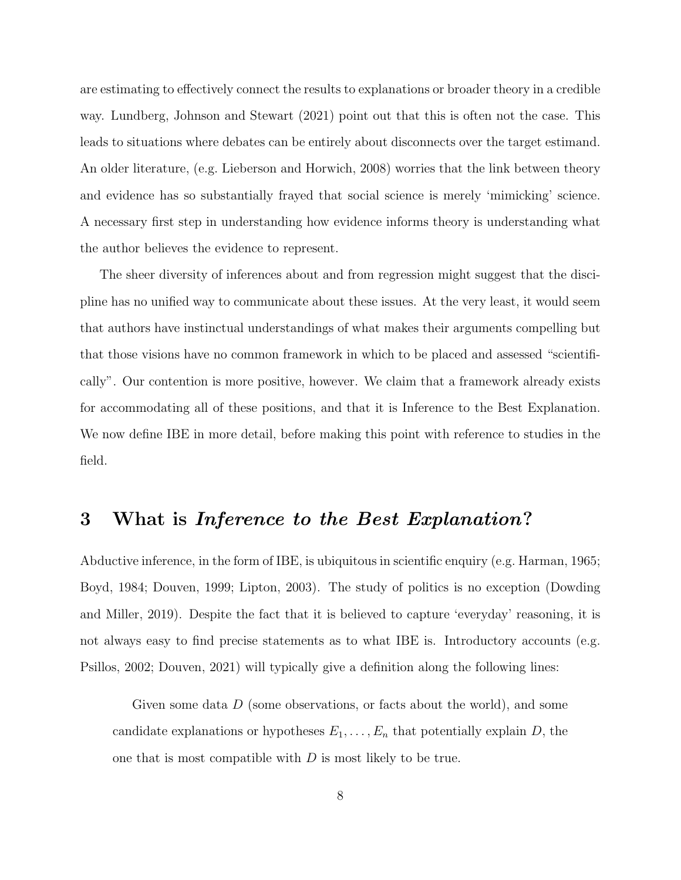are estimating to effectively connect the results to explanations or broader theory in a credible way. Lundberg, Johnson and Stewart (2021) point out that this is often not the case. This leads to situations where debates can be entirely about disconnects over the target estimand. An older literature, (e.g. Lieberson and Horwich, 2008) worries that the link between theory and evidence has so substantially frayed that social science is merely 'mimicking' science. A necessary first step in understanding how evidence informs theory is understanding what the author believes the evidence to represent.

The sheer diversity of inferences about and from regression might suggest that the discipline has no unified way to communicate about these issues. At the very least, it would seem that authors have instinctual understandings of what makes their arguments compelling but that those visions have no common framework in which to be placed and assessed "scientifically". Our contention is more positive, however. We claim that a framework already exists for accommodating all of these positions, and that it is Inference to the Best Explanation. We now define IBE in more detail, before making this point with reference to studies in the field.

## 3 What is Inference to the Best Explanation?

Abductive inference, in the form of IBE, is ubiquitous in scientific enquiry (e.g. Harman, 1965; Boyd, 1984; Douven, 1999; Lipton, 2003). The study of politics is no exception (Dowding and Miller, 2019). Despite the fact that it is believed to capture 'everyday' reasoning, it is not always easy to find precise statements as to what IBE is. Introductory accounts (e.g. Psillos, 2002; Douven, 2021) will typically give a definition along the following lines:

Given some data  $D$  (some observations, or facts about the world), and some candidate explanations or hypotheses  $E_1, \ldots, E_n$  that potentially explain D, the one that is most compatible with D is most likely to be true.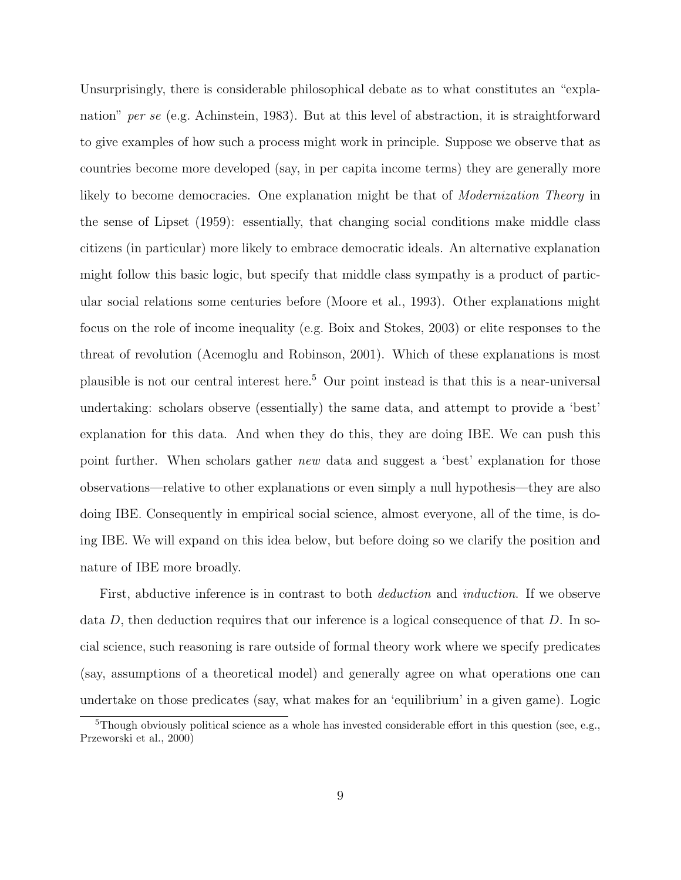Unsurprisingly, there is considerable philosophical debate as to what constitutes an "explanation" per se (e.g. Achinstein, 1983). But at this level of abstraction, it is straightforward to give examples of how such a process might work in principle. Suppose we observe that as countries become more developed (say, in per capita income terms) they are generally more likely to become democracies. One explanation might be that of *Modernization Theory* in the sense of Lipset (1959): essentially, that changing social conditions make middle class citizens (in particular) more likely to embrace democratic ideals. An alternative explanation might follow this basic logic, but specify that middle class sympathy is a product of particular social relations some centuries before (Moore et al., 1993). Other explanations might focus on the role of income inequality (e.g. Boix and Stokes, 2003) or elite responses to the threat of revolution (Acemoglu and Robinson, 2001). Which of these explanations is most plausible is not our central interest here.<sup>5</sup> Our point instead is that this is a near-universal undertaking: scholars observe (essentially) the same data, and attempt to provide a 'best' explanation for this data. And when they do this, they are doing IBE. We can push this point further. When scholars gather *new* data and suggest a 'best' explanation for those observations—relative to other explanations or even simply a null hypothesis—they are also doing IBE. Consequently in empirical social science, almost everyone, all of the time, is doing IBE. We will expand on this idea below, but before doing so we clarify the position and nature of IBE more broadly.

First, abductive inference is in contrast to both *deduction* and *induction*. If we observe data D, then deduction requires that our inference is a logical consequence of that  $D$ . In social science, such reasoning is rare outside of formal theory work where we specify predicates (say, assumptions of a theoretical model) and generally agree on what operations one can undertake on those predicates (say, what makes for an 'equilibrium' in a given game). Logic

<sup>&</sup>lt;sup>5</sup>Though obviously political science as a whole has invested considerable effort in this question (see, e.g., Przeworski et al., 2000)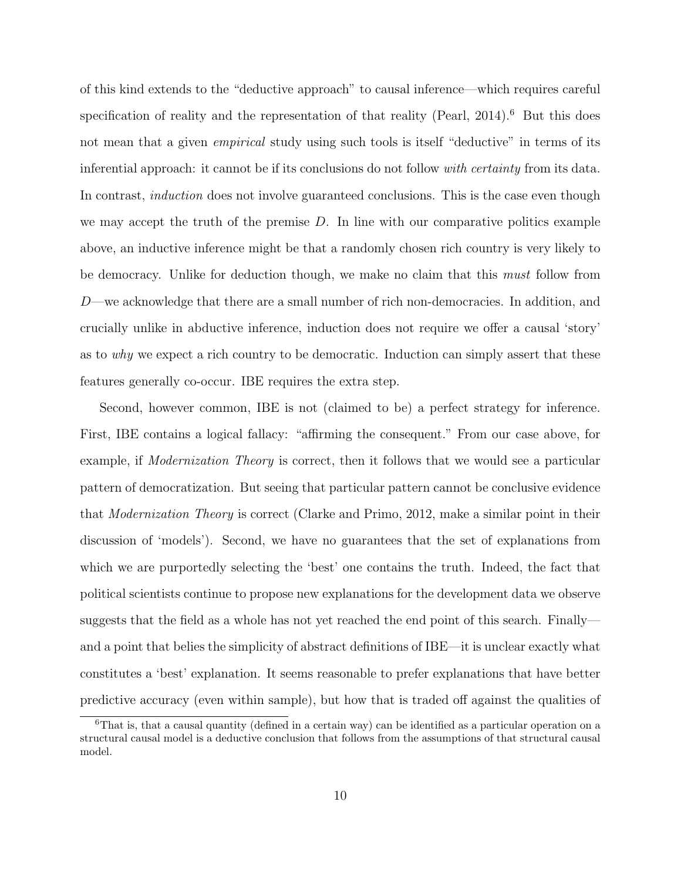of this kind extends to the "deductive approach" to causal inference—which requires careful specification of reality and the representation of that reality (Pearl, 2014).<sup>6</sup> But this does not mean that a given *empirical* study using such tools is itself "deductive" in terms of its inferential approach: it cannot be if its conclusions do not follow *with certainty* from its data. In contrast, *induction* does not involve guaranteed conclusions. This is the case even though we may accept the truth of the premise  $D$ . In line with our comparative politics example above, an inductive inference might be that a randomly chosen rich country is very likely to be democracy. Unlike for deduction though, we make no claim that this must follow from D—we acknowledge that there are a small number of rich non-democracies. In addition, and crucially unlike in abductive inference, induction does not require we offer a causal 'story' as to why we expect a rich country to be democratic. Induction can simply assert that these features generally co-occur. IBE requires the extra step.

Second, however common, IBE is not (claimed to be) a perfect strategy for inference. First, IBE contains a logical fallacy: "affirming the consequent." From our case above, for example, if Modernization Theory is correct, then it follows that we would see a particular pattern of democratization. But seeing that particular pattern cannot be conclusive evidence that Modernization Theory is correct (Clarke and Primo, 2012, make a similar point in their discussion of 'models'). Second, we have no guarantees that the set of explanations from which we are purportedly selecting the 'best' one contains the truth. Indeed, the fact that political scientists continue to propose new explanations for the development data we observe suggests that the field as a whole has not yet reached the end point of this search. Finally and a point that belies the simplicity of abstract definitions of IBE—it is unclear exactly what constitutes a 'best' explanation. It seems reasonable to prefer explanations that have better predictive accuracy (even within sample), but how that is traded off against the qualities of

<sup>6</sup>That is, that a causal quantity (defined in a certain way) can be identified as a particular operation on a structural causal model is a deductive conclusion that follows from the assumptions of that structural causal model.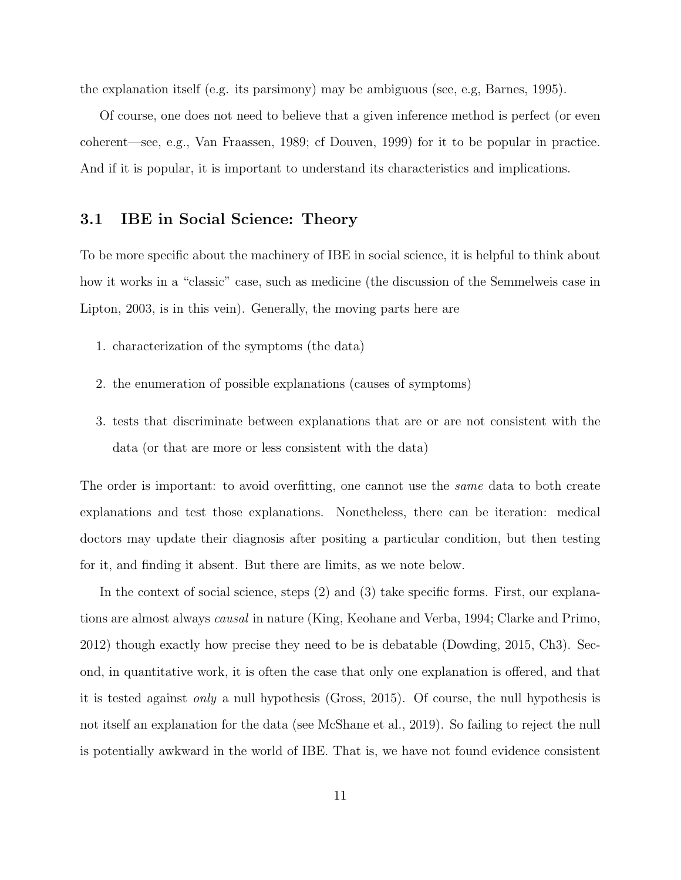the explanation itself (e.g. its parsimony) may be ambiguous (see, e.g, Barnes, 1995).

Of course, one does not need to believe that a given inference method is perfect (or even coherent—see, e.g., Van Fraassen, 1989; cf Douven, 1999) for it to be popular in practice. And if it is popular, it is important to understand its characteristics and implications.

## 3.1 IBE in Social Science: Theory

To be more specific about the machinery of IBE in social science, it is helpful to think about how it works in a "classic" case, such as medicine (the discussion of the Semmelweis case in Lipton, 2003, is in this vein). Generally, the moving parts here are

- 1. characterization of the symptoms (the data)
- 2. the enumeration of possible explanations (causes of symptoms)
- 3. tests that discriminate between explanations that are or are not consistent with the data (or that are more or less consistent with the data)

The order is important: to avoid overfitting, one cannot use the *same* data to both create explanations and test those explanations. Nonetheless, there can be iteration: medical doctors may update their diagnosis after positing a particular condition, but then testing for it, and finding it absent. But there are limits, as we note below.

In the context of social science, steps (2) and (3) take specific forms. First, our explanations are almost always causal in nature (King, Keohane and Verba, 1994; Clarke and Primo, 2012) though exactly how precise they need to be is debatable (Dowding, 2015, Ch3). Second, in quantitative work, it is often the case that only one explanation is offered, and that it is tested against only a null hypothesis (Gross, 2015). Of course, the null hypothesis is not itself an explanation for the data (see McShane et al., 2019). So failing to reject the null is potentially awkward in the world of IBE. That is, we have not found evidence consistent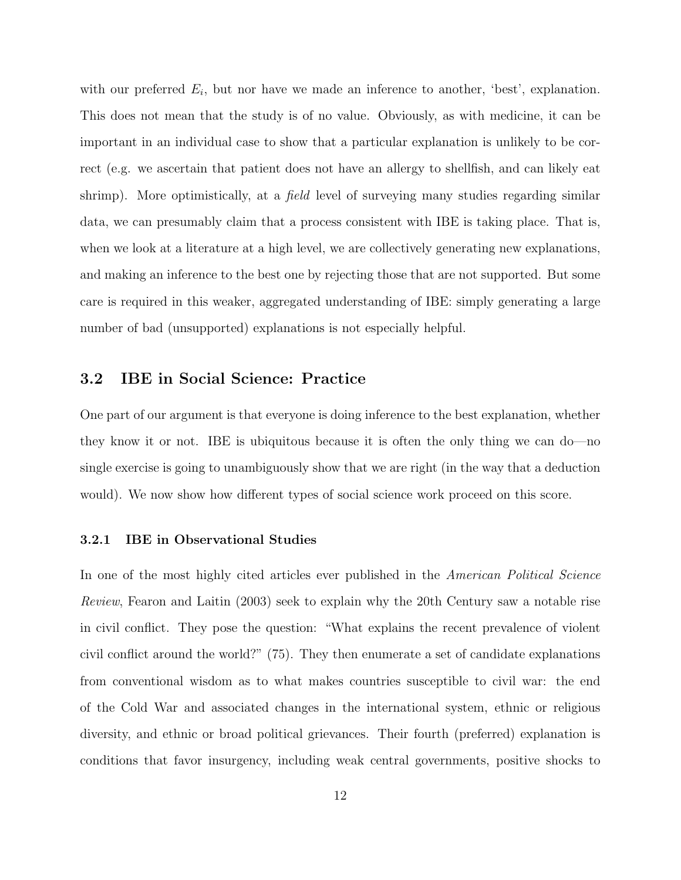with our preferred  $E_i$ , but nor have we made an inference to another, 'best', explanation. This does not mean that the study is of no value. Obviously, as with medicine, it can be important in an individual case to show that a particular explanation is unlikely to be correct (e.g. we ascertain that patient does not have an allergy to shellfish, and can likely eat shrimp). More optimistically, at a *field* level of surveying many studies regarding similar data, we can presumably claim that a process consistent with IBE is taking place. That is, when we look at a literature at a high level, we are collectively generating new explanations, and making an inference to the best one by rejecting those that are not supported. But some care is required in this weaker, aggregated understanding of IBE: simply generating a large number of bad (unsupported) explanations is not especially helpful.

### 3.2 IBE in Social Science: Practice

One part of our argument is that everyone is doing inference to the best explanation, whether they know it or not. IBE is ubiquitous because it is often the only thing we can do—no single exercise is going to unambiguously show that we are right (in the way that a deduction would). We now show how different types of social science work proceed on this score.

#### 3.2.1 IBE in Observational Studies

In one of the most highly cited articles ever published in the *American Political Science* Review, Fearon and Laitin (2003) seek to explain why the 20th Century saw a notable rise in civil conflict. They pose the question: "What explains the recent prevalence of violent civil conflict around the world?" (75). They then enumerate a set of candidate explanations from conventional wisdom as to what makes countries susceptible to civil war: the end of the Cold War and associated changes in the international system, ethnic or religious diversity, and ethnic or broad political grievances. Their fourth (preferred) explanation is conditions that favor insurgency, including weak central governments, positive shocks to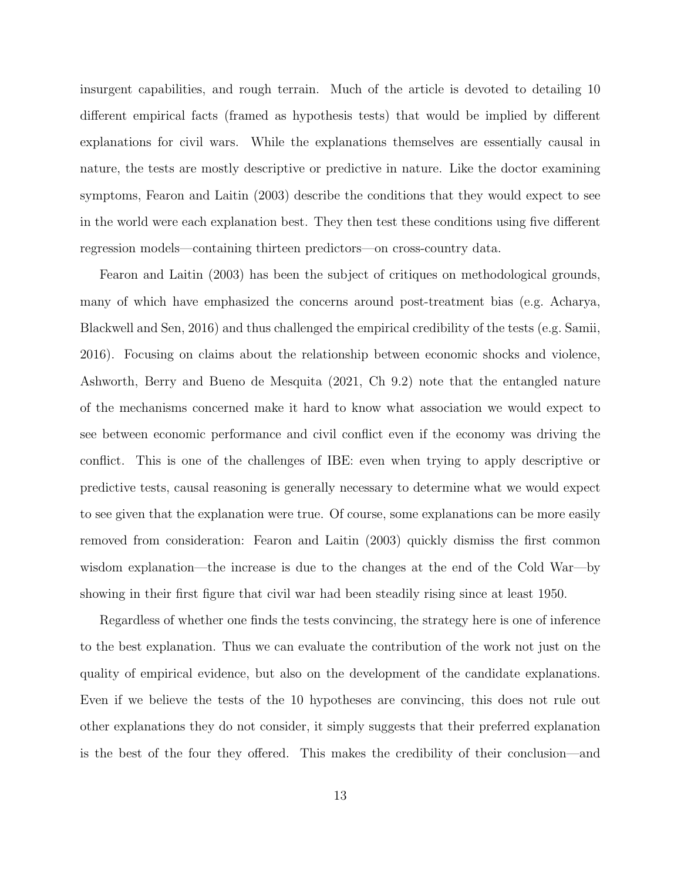insurgent capabilities, and rough terrain. Much of the article is devoted to detailing 10 different empirical facts (framed as hypothesis tests) that would be implied by different explanations for civil wars. While the explanations themselves are essentially causal in nature, the tests are mostly descriptive or predictive in nature. Like the doctor examining symptoms, Fearon and Laitin (2003) describe the conditions that they would expect to see in the world were each explanation best. They then test these conditions using five different regression models—containing thirteen predictors—on cross-country data.

Fearon and Laitin (2003) has been the subject of critiques on methodological grounds, many of which have emphasized the concerns around post-treatment bias (e.g. Acharya, Blackwell and Sen, 2016) and thus challenged the empirical credibility of the tests (e.g. Samii, 2016). Focusing on claims about the relationship between economic shocks and violence, Ashworth, Berry and Bueno de Mesquita (2021, Ch 9.2) note that the entangled nature of the mechanisms concerned make it hard to know what association we would expect to see between economic performance and civil conflict even if the economy was driving the conflict. This is one of the challenges of IBE: even when trying to apply descriptive or predictive tests, causal reasoning is generally necessary to determine what we would expect to see given that the explanation were true. Of course, some explanations can be more easily removed from consideration: Fearon and Laitin (2003) quickly dismiss the first common wisdom explanation—the increase is due to the changes at the end of the Cold War—by showing in their first figure that civil war had been steadily rising since at least 1950.

Regardless of whether one finds the tests convincing, the strategy here is one of inference to the best explanation. Thus we can evaluate the contribution of the work not just on the quality of empirical evidence, but also on the development of the candidate explanations. Even if we believe the tests of the 10 hypotheses are convincing, this does not rule out other explanations they do not consider, it simply suggests that their preferred explanation is the best of the four they offered. This makes the credibility of their conclusion—and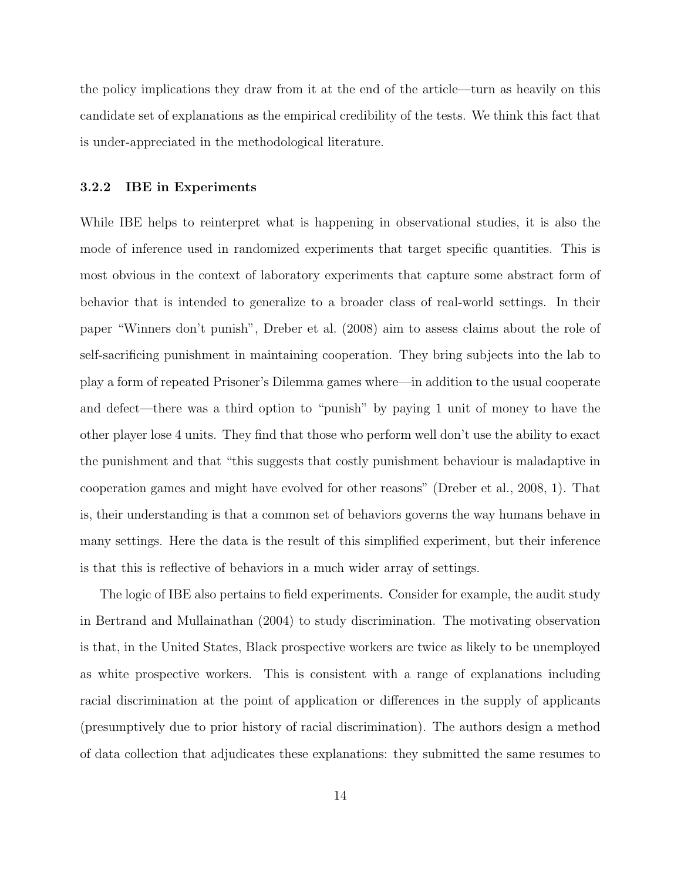the policy implications they draw from it at the end of the article—turn as heavily on this candidate set of explanations as the empirical credibility of the tests. We think this fact that is under-appreciated in the methodological literature.

#### 3.2.2 IBE in Experiments

While IBE helps to reinterpret what is happening in observational studies, it is also the mode of inference used in randomized experiments that target specific quantities. This is most obvious in the context of laboratory experiments that capture some abstract form of behavior that is intended to generalize to a broader class of real-world settings. In their paper "Winners don't punish", Dreber et al. (2008) aim to assess claims about the role of self-sacrificing punishment in maintaining cooperation. They bring subjects into the lab to play a form of repeated Prisoner's Dilemma games where—in addition to the usual cooperate and defect—there was a third option to "punish" by paying 1 unit of money to have the other player lose 4 units. They find that those who perform well don't use the ability to exact the punishment and that "this suggests that costly punishment behaviour is maladaptive in cooperation games and might have evolved for other reasons" (Dreber et al., 2008, 1). That is, their understanding is that a common set of behaviors governs the way humans behave in many settings. Here the data is the result of this simplified experiment, but their inference is that this is reflective of behaviors in a much wider array of settings.

The logic of IBE also pertains to field experiments. Consider for example, the audit study in Bertrand and Mullainathan (2004) to study discrimination. The motivating observation is that, in the United States, Black prospective workers are twice as likely to be unemployed as white prospective workers. This is consistent with a range of explanations including racial discrimination at the point of application or differences in the supply of applicants (presumptively due to prior history of racial discrimination). The authors design a method of data collection that adjudicates these explanations: they submitted the same resumes to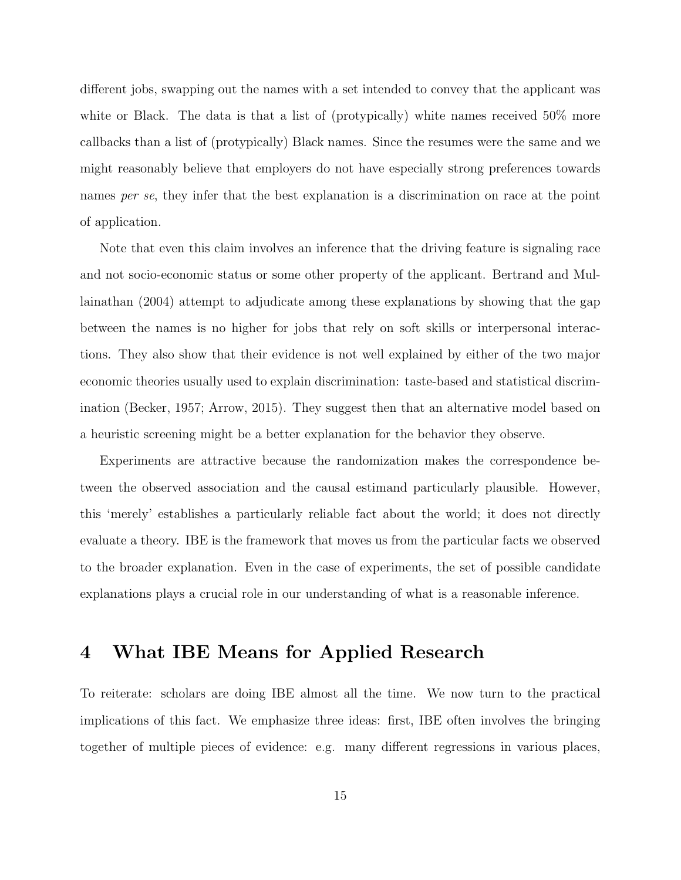different jobs, swapping out the names with a set intended to convey that the applicant was white or Black. The data is that a list of (protypically) white names received 50% more callbacks than a list of (protypically) Black names. Since the resumes were the same and we might reasonably believe that employers do not have especially strong preferences towards names per se, they infer that the best explanation is a discrimination on race at the point of application.

Note that even this claim involves an inference that the driving feature is signaling race and not socio-economic status or some other property of the applicant. Bertrand and Mullainathan (2004) attempt to adjudicate among these explanations by showing that the gap between the names is no higher for jobs that rely on soft skills or interpersonal interactions. They also show that their evidence is not well explained by either of the two major economic theories usually used to explain discrimination: taste-based and statistical discrimination (Becker, 1957; Arrow, 2015). They suggest then that an alternative model based on a heuristic screening might be a better explanation for the behavior they observe.

Experiments are attractive because the randomization makes the correspondence between the observed association and the causal estimand particularly plausible. However, this 'merely' establishes a particularly reliable fact about the world; it does not directly evaluate a theory. IBE is the framework that moves us from the particular facts we observed to the broader explanation. Even in the case of experiments, the set of possible candidate explanations plays a crucial role in our understanding of what is a reasonable inference.

# 4 What IBE Means for Applied Research

To reiterate: scholars are doing IBE almost all the time. We now turn to the practical implications of this fact. We emphasize three ideas: first, IBE often involves the bringing together of multiple pieces of evidence: e.g. many different regressions in various places,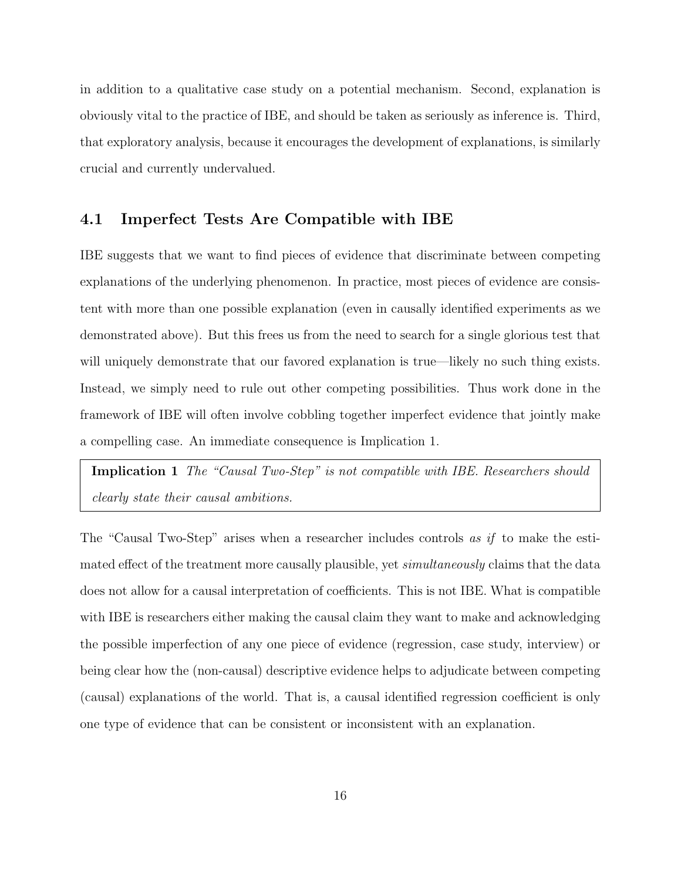in addition to a qualitative case study on a potential mechanism. Second, explanation is obviously vital to the practice of IBE, and should be taken as seriously as inference is. Third, that exploratory analysis, because it encourages the development of explanations, is similarly crucial and currently undervalued.

## 4.1 Imperfect Tests Are Compatible with IBE

IBE suggests that we want to find pieces of evidence that discriminate between competing explanations of the underlying phenomenon. In practice, most pieces of evidence are consistent with more than one possible explanation (even in causally identified experiments as we demonstrated above). But this frees us from the need to search for a single glorious test that will uniquely demonstrate that our favored explanation is true—likely no such thing exists. Instead, we simply need to rule out other competing possibilities. Thus work done in the framework of IBE will often involve cobbling together imperfect evidence that jointly make a compelling case. An immediate consequence is Implication 1.

Implication 1 The "Causal Two-Step" is not compatible with IBE. Researchers should clearly state their causal ambitions.

The "Causal Two-Step" arises when a researcher includes controls as if to make the estimated effect of the treatment more causally plausible, yet *simultaneously* claims that the data does not allow for a causal interpretation of coefficients. This is not IBE. What is compatible with IBE is researchers either making the causal claim they want to make and acknowledging the possible imperfection of any one piece of evidence (regression, case study, interview) or being clear how the (non-causal) descriptive evidence helps to adjudicate between competing (causal) explanations of the world. That is, a causal identified regression coefficient is only one type of evidence that can be consistent or inconsistent with an explanation.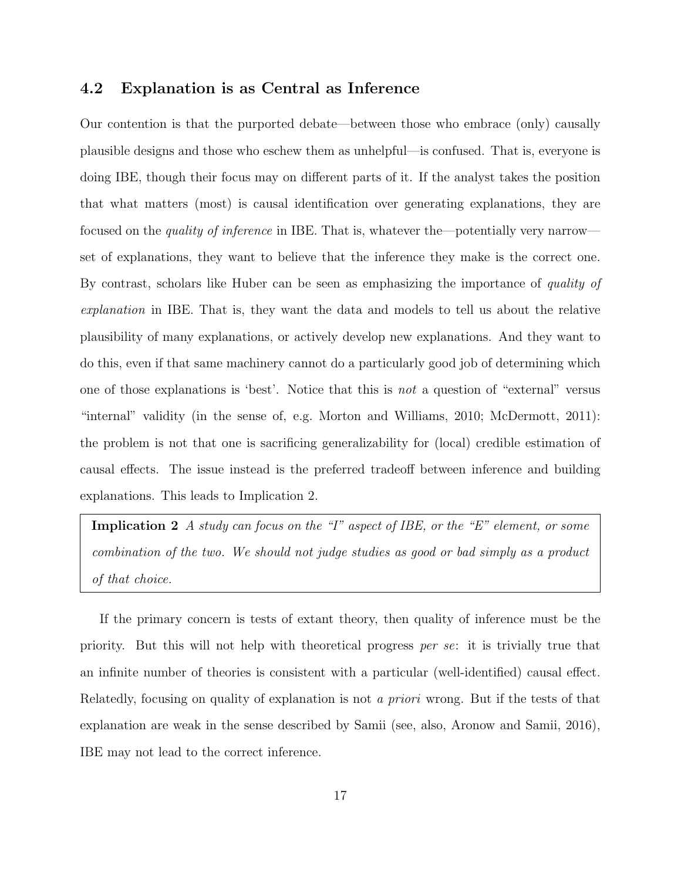### 4.2 Explanation is as Central as Inference

Our contention is that the purported debate—between those who embrace (only) causally plausible designs and those who eschew them as unhelpful—is confused. That is, everyone is doing IBE, though their focus may on different parts of it. If the analyst takes the position that what matters (most) is causal identification over generating explanations, they are focused on the quality of inference in IBE. That is, whatever the—potentially very narrow set of explanations, they want to believe that the inference they make is the correct one. By contrast, scholars like Huber can be seen as emphasizing the importance of quality of explanation in IBE. That is, they want the data and models to tell us about the relative plausibility of many explanations, or actively develop new explanations. And they want to do this, even if that same machinery cannot do a particularly good job of determining which one of those explanations is 'best'. Notice that this is not a question of "external" versus "internal" validity (in the sense of, e.g. Morton and Williams, 2010; McDermott, 2011): the problem is not that one is sacrificing generalizability for (local) credible estimation of causal effects. The issue instead is the preferred tradeoff between inference and building explanations. This leads to Implication 2.

**Implication 2** A study can focus on the "I" aspect of IBE, or the "E" element, or some combination of the two. We should not judge studies as good or bad simply as a product of that choice.

If the primary concern is tests of extant theory, then quality of inference must be the priority. But this will not help with theoretical progress per se: it is trivially true that an infinite number of theories is consistent with a particular (well-identified) causal effect. Relatedly, focusing on quality of explanation is not a priori wrong. But if the tests of that explanation are weak in the sense described by Samii (see, also, Aronow and Samii, 2016), IBE may not lead to the correct inference.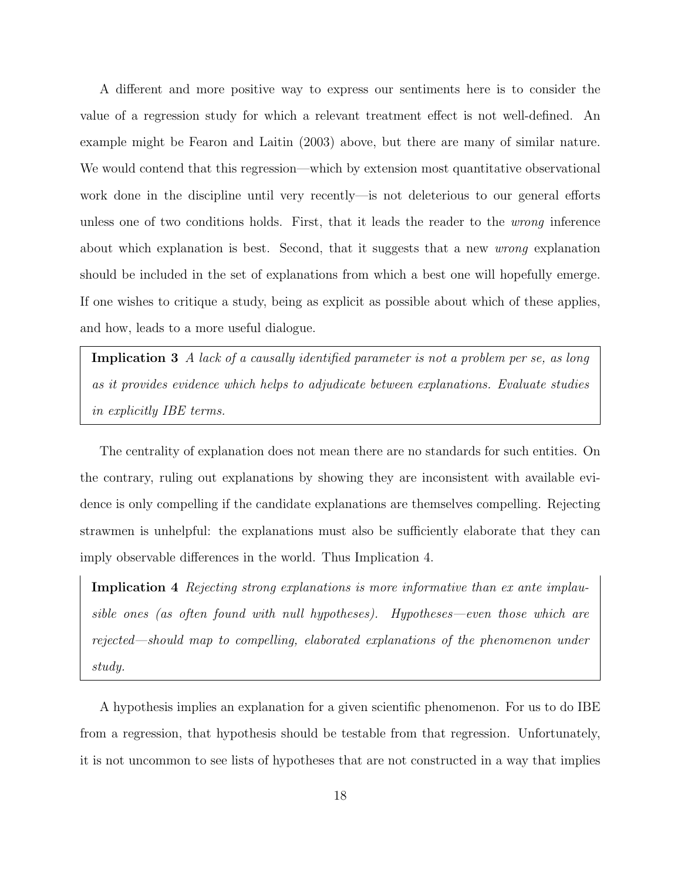A different and more positive way to express our sentiments here is to consider the value of a regression study for which a relevant treatment effect is not well-defined. An example might be Fearon and Laitin (2003) above, but there are many of similar nature. We would contend that this regression—which by extension most quantitative observational work done in the discipline until very recently—is not deleterious to our general efforts unless one of two conditions holds. First, that it leads the reader to the wrong inference about which explanation is best. Second, that it suggests that a new wrong explanation should be included in the set of explanations from which a best one will hopefully emerge. If one wishes to critique a study, being as explicit as possible about which of these applies, and how, leads to a more useful dialogue.

Implication 3 A lack of a causally identified parameter is not a problem per se, as long as it provides evidence which helps to adjudicate between explanations. Evaluate studies in explicitly IBE terms.

The centrality of explanation does not mean there are no standards for such entities. On the contrary, ruling out explanations by showing they are inconsistent with available evidence is only compelling if the candidate explanations are themselves compelling. Rejecting strawmen is unhelpful: the explanations must also be sufficiently elaborate that they can imply observable differences in the world. Thus Implication 4.

Implication 4 Rejecting strong explanations is more informative than ex ante implausible ones (as often found with null hypotheses). Hypotheses—even those which are rejected—should map to compelling, elaborated explanations of the phenomenon under study.

A hypothesis implies an explanation for a given scientific phenomenon. For us to do IBE from a regression, that hypothesis should be testable from that regression. Unfortunately, it is not uncommon to see lists of hypotheses that are not constructed in a way that implies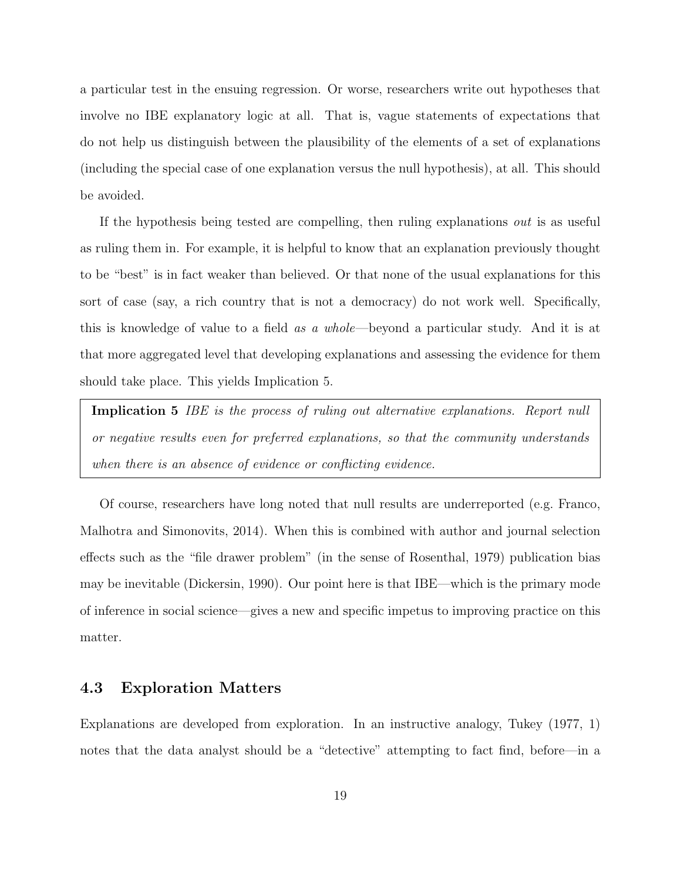a particular test in the ensuing regression. Or worse, researchers write out hypotheses that involve no IBE explanatory logic at all. That is, vague statements of expectations that do not help us distinguish between the plausibility of the elements of a set of explanations (including the special case of one explanation versus the null hypothesis), at all. This should be avoided.

If the hypothesis being tested are compelling, then ruling explanations out is as useful as ruling them in. For example, it is helpful to know that an explanation previously thought to be "best" is in fact weaker than believed. Or that none of the usual explanations for this sort of case (say, a rich country that is not a democracy) do not work well. Specifically, this is knowledge of value to a field as a whole—beyond a particular study. And it is at that more aggregated level that developing explanations and assessing the evidence for them should take place. This yields Implication 5.

Implication 5 IBE is the process of ruling out alternative explanations. Report null or negative results even for preferred explanations, so that the community understands when there is an absence of evidence or conflicting evidence.

Of course, researchers have long noted that null results are underreported (e.g. Franco, Malhotra and Simonovits, 2014). When this is combined with author and journal selection effects such as the "file drawer problem" (in the sense of Rosenthal, 1979) publication bias may be inevitable (Dickersin, 1990). Our point here is that IBE—which is the primary mode of inference in social science—gives a new and specific impetus to improving practice on this matter.

## 4.3 Exploration Matters

Explanations are developed from exploration. In an instructive analogy, Tukey (1977, 1) notes that the data analyst should be a "detective" attempting to fact find, before—in a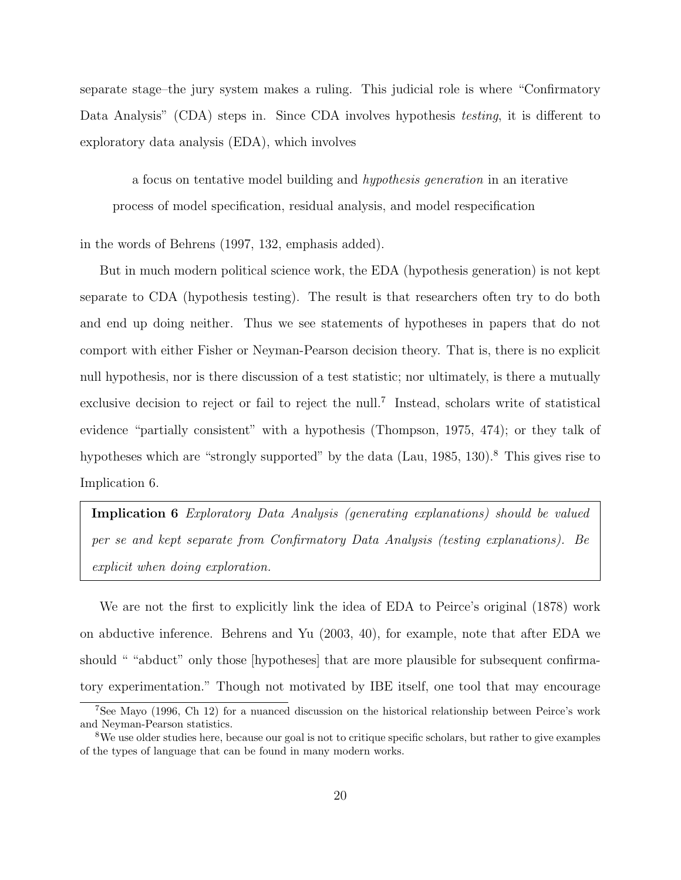separate stage–the jury system makes a ruling. This judicial role is where "Confirmatory Data Analysis" (CDA) steps in. Since CDA involves hypothesis *testing*, it is different to exploratory data analysis (EDA), which involves

a focus on tentative model building and hypothesis generation in an iterative process of model specification, residual analysis, and model respecification

in the words of Behrens (1997, 132, emphasis added).

But in much modern political science work, the EDA (hypothesis generation) is not kept separate to CDA (hypothesis testing). The result is that researchers often try to do both and end up doing neither. Thus we see statements of hypotheses in papers that do not comport with either Fisher or Neyman-Pearson decision theory. That is, there is no explicit null hypothesis, nor is there discussion of a test statistic; nor ultimately, is there a mutually exclusive decision to reject or fail to reject the null.<sup>7</sup> Instead, scholars write of statistical evidence "partially consistent" with a hypothesis (Thompson, 1975, 474); or they talk of hypotheses which are "strongly supported" by the data (Lau, 1985, 130).<sup>8</sup> This gives rise to Implication 6.

Implication 6 Exploratory Data Analysis (generating explanations) should be valued per se and kept separate from Confirmatory Data Analysis (testing explanations). Be explicit when doing exploration.

We are not the first to explicitly link the idea of EDA to Peirce's original (1878) work on abductive inference. Behrens and Yu (2003, 40), for example, note that after EDA we should " "abduct" only those [hypotheses] that are more plausible for subsequent confirmatory experimentation." Though not motivated by IBE itself, one tool that may encourage

<sup>7</sup>See Mayo (1996, Ch 12) for a nuanced discussion on the historical relationship between Peirce's work and Neyman-Pearson statistics.

<sup>8</sup>We use older studies here, because our goal is not to critique specific scholars, but rather to give examples of the types of language that can be found in many modern works.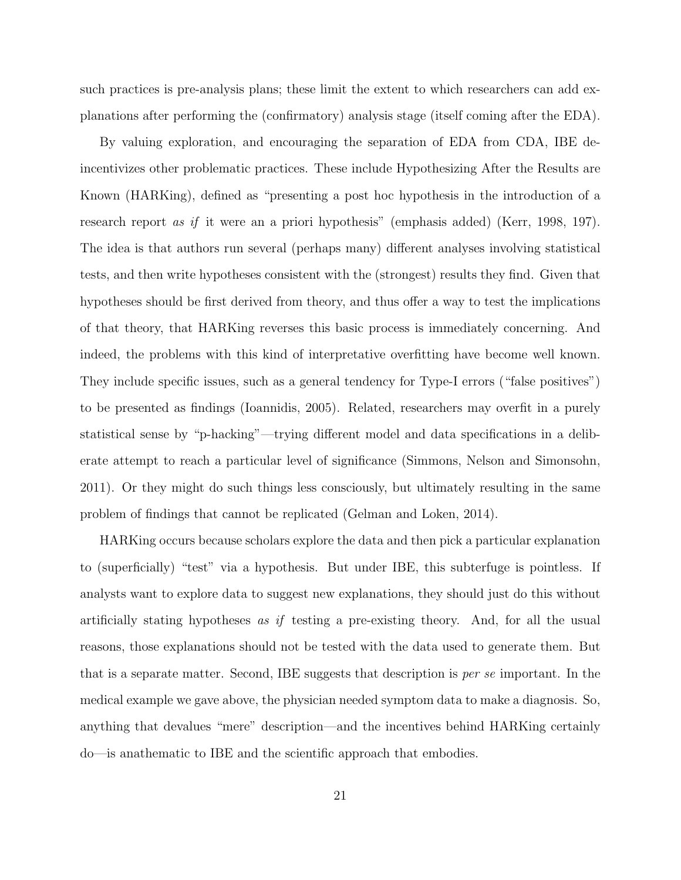such practices is pre-analysis plans; these limit the extent to which researchers can add explanations after performing the (confirmatory) analysis stage (itself coming after the EDA).

By valuing exploration, and encouraging the separation of EDA from CDA, IBE deincentivizes other problematic practices. These include Hypothesizing After the Results are Known (HARKing), defined as "presenting a post hoc hypothesis in the introduction of a research report as if it were an a priori hypothesis" (emphasis added) (Kerr, 1998, 197). The idea is that authors run several (perhaps many) different analyses involving statistical tests, and then write hypotheses consistent with the (strongest) results they find. Given that hypotheses should be first derived from theory, and thus offer a way to test the implications of that theory, that HARKing reverses this basic process is immediately concerning. And indeed, the problems with this kind of interpretative overfitting have become well known. They include specific issues, such as a general tendency for Type-I errors ("false positives") to be presented as findings (Ioannidis, 2005). Related, researchers may overfit in a purely statistical sense by "p-hacking"—trying different model and data specifications in a deliberate attempt to reach a particular level of significance (Simmons, Nelson and Simonsohn, 2011). Or they might do such things less consciously, but ultimately resulting in the same problem of findings that cannot be replicated (Gelman and Loken, 2014).

HARKing occurs because scholars explore the data and then pick a particular explanation to (superficially) "test" via a hypothesis. But under IBE, this subterfuge is pointless. If analysts want to explore data to suggest new explanations, they should just do this without artificially stating hypotheses as if testing a pre-existing theory. And, for all the usual reasons, those explanations should not be tested with the data used to generate them. But that is a separate matter. Second, IBE suggests that description is per se important. In the medical example we gave above, the physician needed symptom data to make a diagnosis. So, anything that devalues "mere" description—and the incentives behind HARKing certainly do—is anathematic to IBE and the scientific approach that embodies.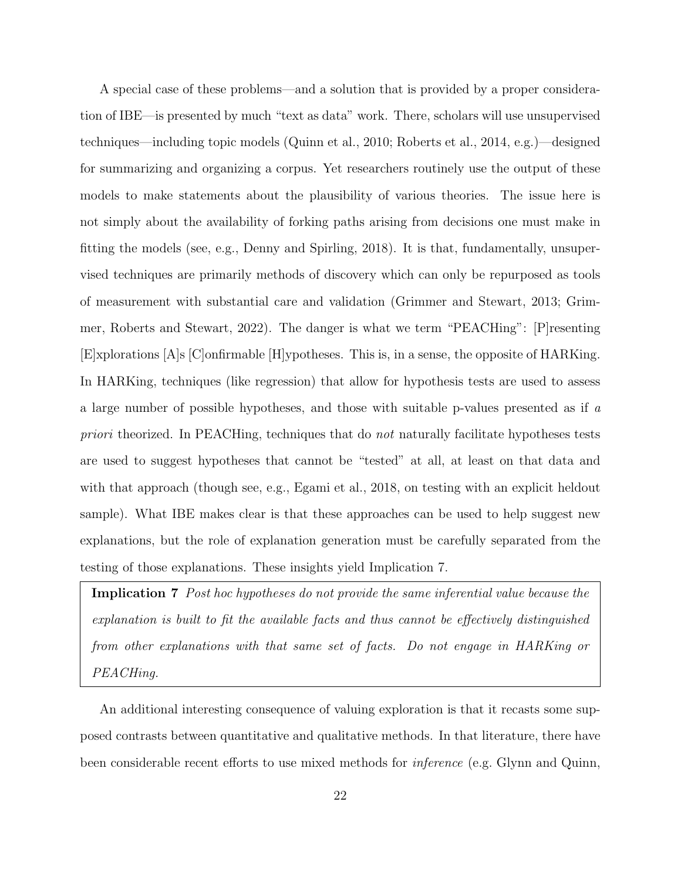A special case of these problems—and a solution that is provided by a proper consideration of IBE—is presented by much "text as data" work. There, scholars will use unsupervised techniques—including topic models (Quinn et al., 2010; Roberts et al., 2014, e.g.)—designed for summarizing and organizing a corpus. Yet researchers routinely use the output of these models to make statements about the plausibility of various theories. The issue here is not simply about the availability of forking paths arising from decisions one must make in fitting the models (see, e.g., Denny and Spirling, 2018). It is that, fundamentally, unsupervised techniques are primarily methods of discovery which can only be repurposed as tools of measurement with substantial care and validation (Grimmer and Stewart, 2013; Grimmer, Roberts and Stewart, 2022). The danger is what we term "PEACHing": [P]resenting [E]xplorations [A]s [C]onfirmable [H]ypotheses. This is, in a sense, the opposite of HARKing. In HARKing, techniques (like regression) that allow for hypothesis tests are used to assess a large number of possible hypotheses, and those with suitable p-values presented as if a priori theorized. In PEACHing, techniques that do not naturally facilitate hypotheses tests are used to suggest hypotheses that cannot be "tested" at all, at least on that data and with that approach (though see, e.g., Egami et al., 2018, on testing with an explicit heldout sample). What IBE makes clear is that these approaches can be used to help suggest new explanations, but the role of explanation generation must be carefully separated from the testing of those explanations. These insights yield Implication 7.

Implication 7 Post hoc hypotheses do not provide the same inferential value because the explanation is built to fit the available facts and thus cannot be effectively distinguished from other explanations with that same set of facts. Do not engage in HARKing or PEACHing.

An additional interesting consequence of valuing exploration is that it recasts some supposed contrasts between quantitative and qualitative methods. In that literature, there have been considerable recent efforts to use mixed methods for inference (e.g. Glynn and Quinn,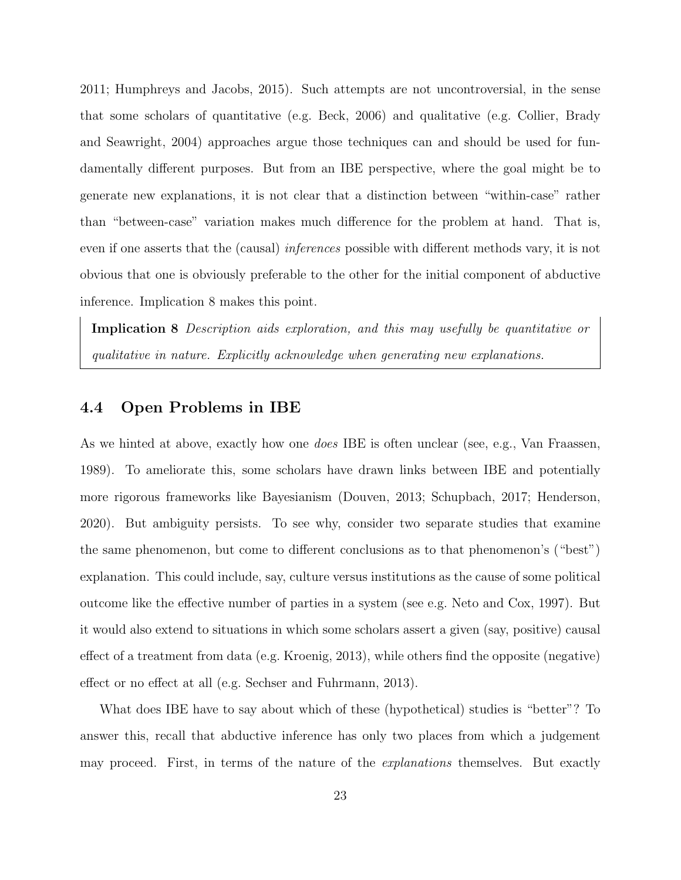2011; Humphreys and Jacobs, 2015). Such attempts are not uncontroversial, in the sense that some scholars of quantitative (e.g. Beck, 2006) and qualitative (e.g. Collier, Brady and Seawright, 2004) approaches argue those techniques can and should be used for fundamentally different purposes. But from an IBE perspective, where the goal might be to generate new explanations, it is not clear that a distinction between "within-case" rather than "between-case" variation makes much difference for the problem at hand. That is, even if one asserts that the (causal) inferences possible with different methods vary, it is not obvious that one is obviously preferable to the other for the initial component of abductive inference. Implication 8 makes this point.

Implication 8 Description aids exploration, and this may usefully be quantitative or qualitative in nature. Explicitly acknowledge when generating new explanations.

### 4.4 Open Problems in IBE

As we hinted at above, exactly how one *does* IBE is often unclear (see, e.g., Van Fraassen, 1989). To ameliorate this, some scholars have drawn links between IBE and potentially more rigorous frameworks like Bayesianism (Douven, 2013; Schupbach, 2017; Henderson, 2020). But ambiguity persists. To see why, consider two separate studies that examine the same phenomenon, but come to different conclusions as to that phenomenon's ("best") explanation. This could include, say, culture versus institutions as the cause of some political outcome like the effective number of parties in a system (see e.g. Neto and Cox, 1997). But it would also extend to situations in which some scholars assert a given (say, positive) causal effect of a treatment from data (e.g. Kroenig, 2013), while others find the opposite (negative) effect or no effect at all (e.g. Sechser and Fuhrmann, 2013).

What does IBE have to say about which of these (hypothetical) studies is "better"? To answer this, recall that abductive inference has only two places from which a judgement may proceed. First, in terms of the nature of the *explanations* themselves. But exactly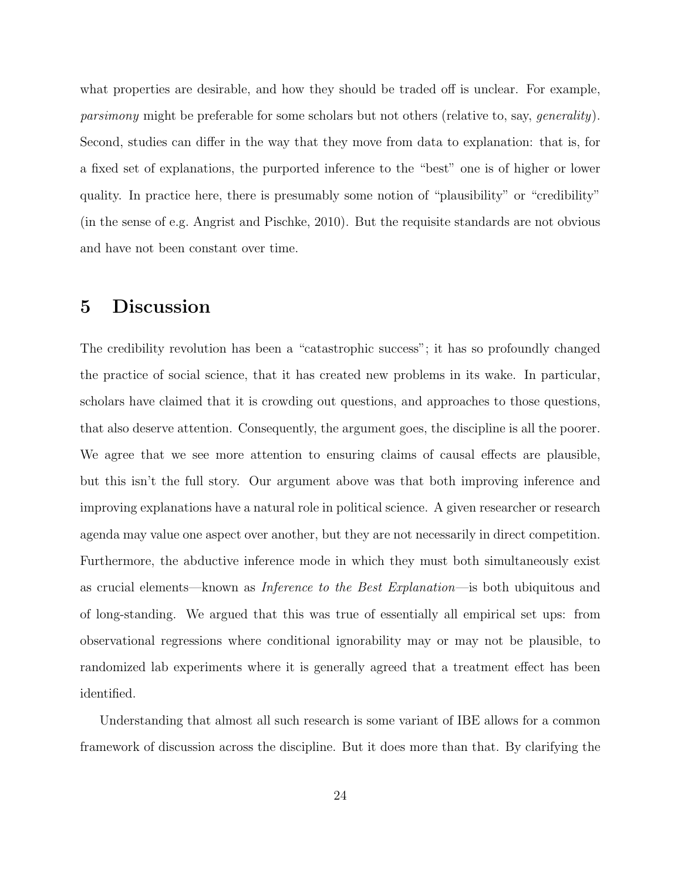what properties are desirable, and how they should be traded off is unclear. For example, parsimony might be preferable for some scholars but not others (relative to, say, generality). Second, studies can differ in the way that they move from data to explanation: that is, for a fixed set of explanations, the purported inference to the "best" one is of higher or lower quality. In practice here, there is presumably some notion of "plausibility" or "credibility" (in the sense of e.g. Angrist and Pischke, 2010). But the requisite standards are not obvious and have not been constant over time.

# 5 Discussion

The credibility revolution has been a "catastrophic success"; it has so profoundly changed the practice of social science, that it has created new problems in its wake. In particular, scholars have claimed that it is crowding out questions, and approaches to those questions, that also deserve attention. Consequently, the argument goes, the discipline is all the poorer. We agree that we see more attention to ensuring claims of causal effects are plausible, but this isn't the full story. Our argument above was that both improving inference and improving explanations have a natural role in political science. A given researcher or research agenda may value one aspect over another, but they are not necessarily in direct competition. Furthermore, the abductive inference mode in which they must both simultaneously exist as crucial elements—known as Inference to the Best Explanation—is both ubiquitous and of long-standing. We argued that this was true of essentially all empirical set ups: from observational regressions where conditional ignorability may or may not be plausible, to randomized lab experiments where it is generally agreed that a treatment effect has been identified.

Understanding that almost all such research is some variant of IBE allows for a common framework of discussion across the discipline. But it does more than that. By clarifying the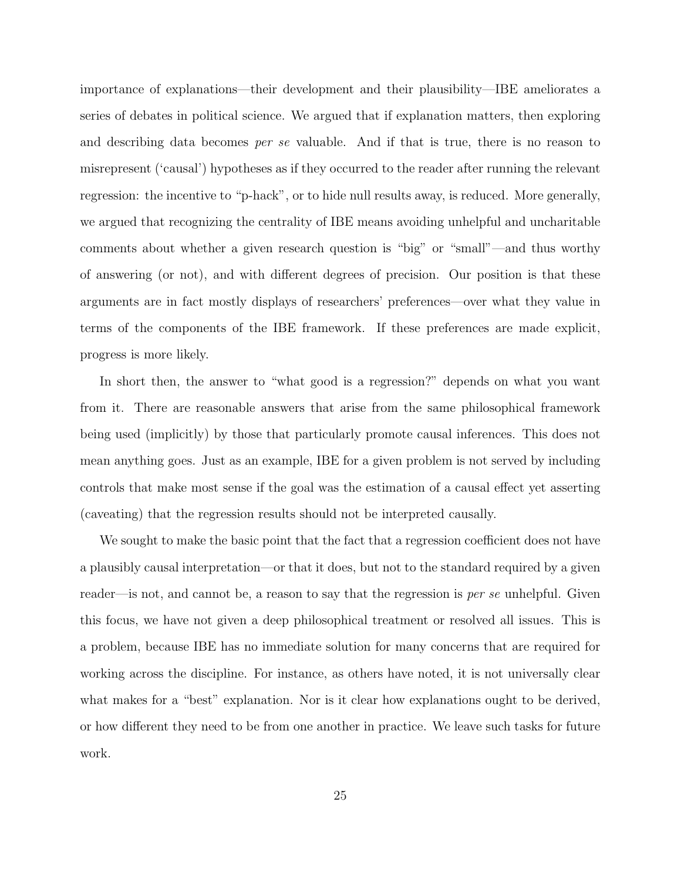importance of explanations—their development and their plausibility—IBE ameliorates a series of debates in political science. We argued that if explanation matters, then exploring and describing data becomes per se valuable. And if that is true, there is no reason to misrepresent ('causal') hypotheses as if they occurred to the reader after running the relevant regression: the incentive to "p-hack", or to hide null results away, is reduced. More generally, we argued that recognizing the centrality of IBE means avoiding unhelpful and uncharitable comments about whether a given research question is "big" or "small"—and thus worthy of answering (or not), and with different degrees of precision. Our position is that these arguments are in fact mostly displays of researchers' preferences—over what they value in terms of the components of the IBE framework. If these preferences are made explicit, progress is more likely.

In short then, the answer to "what good is a regression?" depends on what you want from it. There are reasonable answers that arise from the same philosophical framework being used (implicitly) by those that particularly promote causal inferences. This does not mean anything goes. Just as an example, IBE for a given problem is not served by including controls that make most sense if the goal was the estimation of a causal effect yet asserting (caveating) that the regression results should not be interpreted causally.

We sought to make the basic point that the fact that a regression coefficient does not have a plausibly causal interpretation—or that it does, but not to the standard required by a given reader—is not, and cannot be, a reason to say that the regression is *per se* unhelpful. Given this focus, we have not given a deep philosophical treatment or resolved all issues. This is a problem, because IBE has no immediate solution for many concerns that are required for working across the discipline. For instance, as others have noted, it is not universally clear what makes for a "best" explanation. Nor is it clear how explanations ought to be derived, or how different they need to be from one another in practice. We leave such tasks for future work.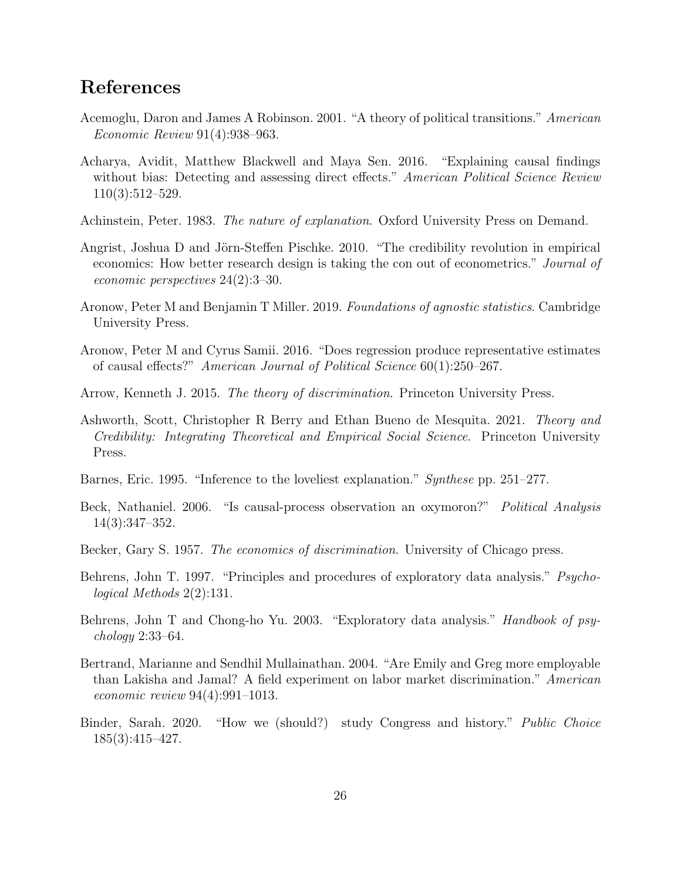# References

- Acemoglu, Daron and James A Robinson. 2001. "A theory of political transitions." American Economic Review 91(4):938–963.
- Acharya, Avidit, Matthew Blackwell and Maya Sen. 2016. "Explaining causal findings without bias: Detecting and assessing direct effects." American Political Science Review 110(3):512–529.
- Achinstein, Peter. 1983. *The nature of explanation*. Oxford University Press on Demand.
- Angrist, Joshua D and Jörn-Steffen Pischke. 2010. "The credibility revolution in empirical economics: How better research design is taking the con out of econometrics." Journal of economic perspectives 24(2):3–30.
- Aronow, Peter M and Benjamin T Miller. 2019. Foundations of agnostic statistics. Cambridge University Press.
- Aronow, Peter M and Cyrus Samii. 2016. "Does regression produce representative estimates of causal effects?" American Journal of Political Science 60(1):250–267.
- Arrow, Kenneth J. 2015. The theory of discrimination. Princeton University Press.
- Ashworth, Scott, Christopher R Berry and Ethan Bueno de Mesquita. 2021. Theory and Credibility: Integrating Theoretical and Empirical Social Science. Princeton University Press.
- Barnes, Eric. 1995. "Inference to the loveliest explanation." Synthese pp. 251–277.
- Beck, Nathaniel. 2006. "Is causal-process observation an oxymoron?" Political Analysis 14(3):347–352.
- Becker, Gary S. 1957. *The economics of discrimination*. University of Chicago press.
- Behrens, John T. 1997. "Principles and procedures of exploratory data analysis." *Psycho*logical Methods 2(2):131.
- Behrens, John T and Chong-ho Yu. 2003. "Exploratory data analysis." *Handbook of psy*chology 2:33–64.
- Bertrand, Marianne and Sendhil Mullainathan. 2004. "Are Emily and Greg more employable than Lakisha and Jamal? A field experiment on labor market discrimination." American economic review 94(4):991–1013.
- Binder, Sarah. 2020. "How we (should?) study Congress and history." Public Choice 185(3):415–427.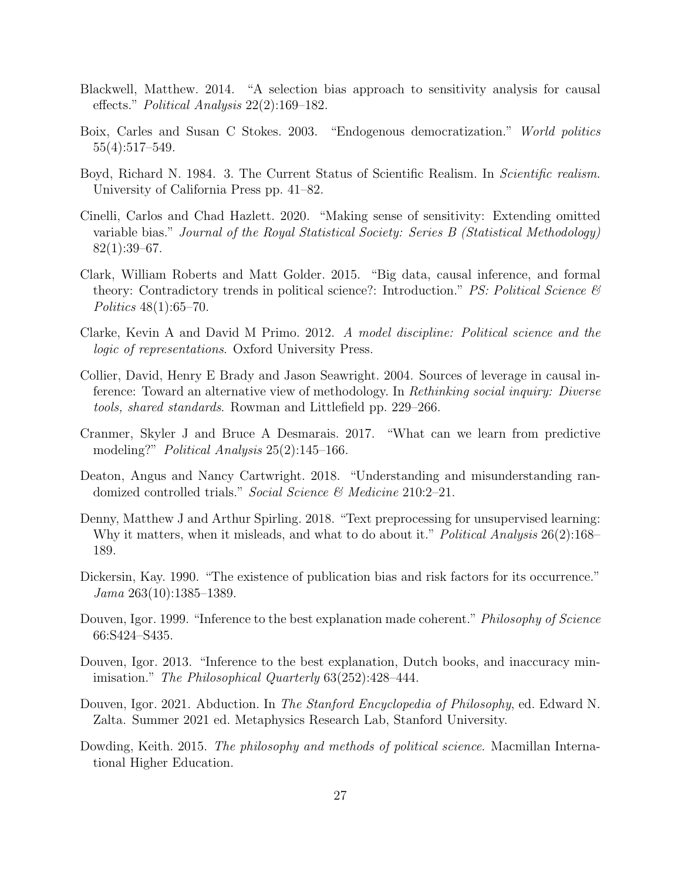- Blackwell, Matthew. 2014. "A selection bias approach to sensitivity analysis for causal effects." Political Analysis 22(2):169–182.
- Boix, Carles and Susan C Stokes. 2003. "Endogenous democratization." World politics 55(4):517–549.
- Boyd, Richard N. 1984. 3. The Current Status of Scientific Realism. In Scientific realism. University of California Press pp. 41–82.
- Cinelli, Carlos and Chad Hazlett. 2020. "Making sense of sensitivity: Extending omitted variable bias." Journal of the Royal Statistical Society: Series B (Statistical Methodology) 82(1):39–67.
- Clark, William Roberts and Matt Golder. 2015. "Big data, causal inference, and formal theory: Contradictory trends in political science?: Introduction." *PS: Political Science*  $\mathcal{B}$ Politics 48(1):65–70.
- Clarke, Kevin A and David M Primo. 2012. A model discipline: Political science and the logic of representations. Oxford University Press.
- Collier, David, Henry E Brady and Jason Seawright. 2004. Sources of leverage in causal inference: Toward an alternative view of methodology. In Rethinking social inquiry: Diverse tools, shared standards. Rowman and Littlefield pp. 229–266.
- Cranmer, Skyler J and Bruce A Desmarais. 2017. "What can we learn from predictive modeling?" *Political Analysis* 25(2):145–166.
- Deaton, Angus and Nancy Cartwright. 2018. "Understanding and misunderstanding randomized controlled trials." Social Science & Medicine 210:2–21.
- Denny, Matthew J and Arthur Spirling. 2018. "Text preprocessing for unsupervised learning: Why it matters, when it misleads, and what to do about it." Political Analysis 26(2):168– 189.
- Dickersin, Kay. 1990. "The existence of publication bias and risk factors for its occurrence." Jama 263(10):1385–1389.
- Douven, Igor. 1999. "Inference to the best explanation made coherent." *Philosophy of Science* 66:S424–S435.
- Douven, Igor. 2013. "Inference to the best explanation, Dutch books, and inaccuracy minimisation." The Philosophical Quarterly 63(252):428–444.
- Douven, Igor. 2021. Abduction. In The Stanford Encyclopedia of Philosophy, ed. Edward N. Zalta. Summer 2021 ed. Metaphysics Research Lab, Stanford University.
- Dowding, Keith. 2015. The philosophy and methods of political science. Macmillan International Higher Education.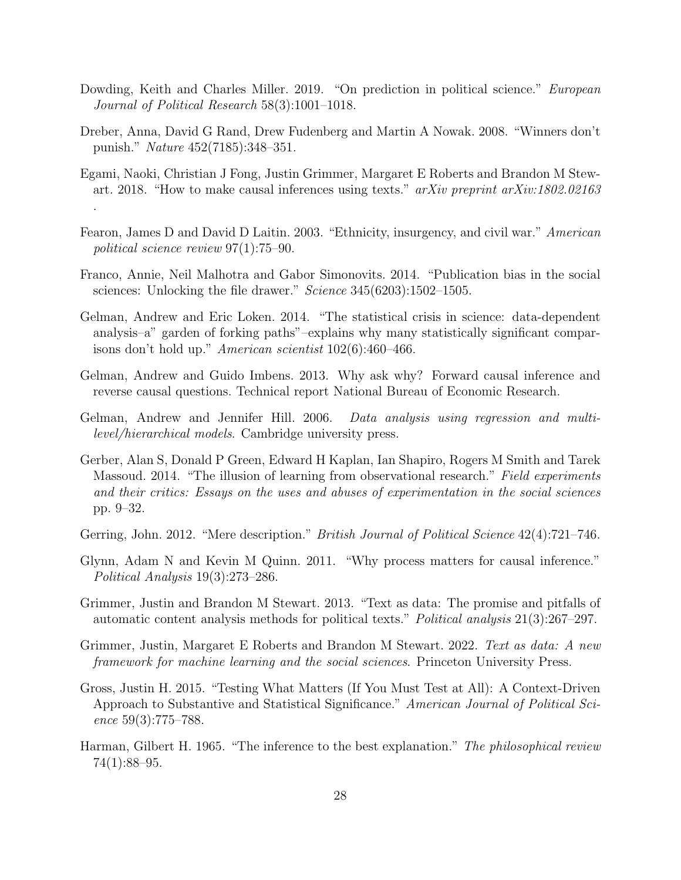- Dowding, Keith and Charles Miller. 2019. "On prediction in political science." European Journal of Political Research 58(3):1001–1018.
- Dreber, Anna, David G Rand, Drew Fudenberg and Martin A Nowak. 2008. "Winners don't punish." Nature 452(7185):348–351.
- Egami, Naoki, Christian J Fong, Justin Grimmer, Margaret E Roberts and Brandon M Stewart. 2018. "How to make causal inferences using texts."  $arXiv$  preprint  $arXiv:1802.02163$ .
- Fearon, James D and David D Laitin. 2003. "Ethnicity, insurgency, and civil war." American political science review 97(1):75–90.
- Franco, Annie, Neil Malhotra and Gabor Simonovits. 2014. "Publication bias in the social sciences: Unlocking the file drawer." Science 345(6203):1502-1505.
- Gelman, Andrew and Eric Loken. 2014. "The statistical crisis in science: data-dependent analysis–a" garden of forking paths"–explains why many statistically significant comparisons don't hold up." American scientist 102(6):460–466.
- Gelman, Andrew and Guido Imbens. 2013. Why ask why? Forward causal inference and reverse causal questions. Technical report National Bureau of Economic Research.
- Gelman, Andrew and Jennifer Hill. 2006. Data analysis using regression and multilevel/hierarchical models. Cambridge university press.
- Gerber, Alan S, Donald P Green, Edward H Kaplan, Ian Shapiro, Rogers M Smith and Tarek Massoud. 2014. "The illusion of learning from observational research." Field experiments and their critics: Essays on the uses and abuses of experimentation in the social sciences pp. 9–32.
- Gerring, John. 2012. "Mere description." *British Journal of Political Science* 42(4):721–746.
- Glynn, Adam N and Kevin M Quinn. 2011. "Why process matters for causal inference." Political Analysis 19(3):273–286.
- Grimmer, Justin and Brandon M Stewart. 2013. "Text as data: The promise and pitfalls of automatic content analysis methods for political texts." Political analysis 21(3):267–297.
- Grimmer, Justin, Margaret E Roberts and Brandon M Stewart. 2022. Text as data: A new framework for machine learning and the social sciences. Princeton University Press.
- Gross, Justin H. 2015. "Testing What Matters (If You Must Test at All): A Context-Driven Approach to Substantive and Statistical Significance." American Journal of Political Science 59(3):775–788.
- Harman, Gilbert H. 1965. "The inference to the best explanation." The philosophical review 74(1):88–95.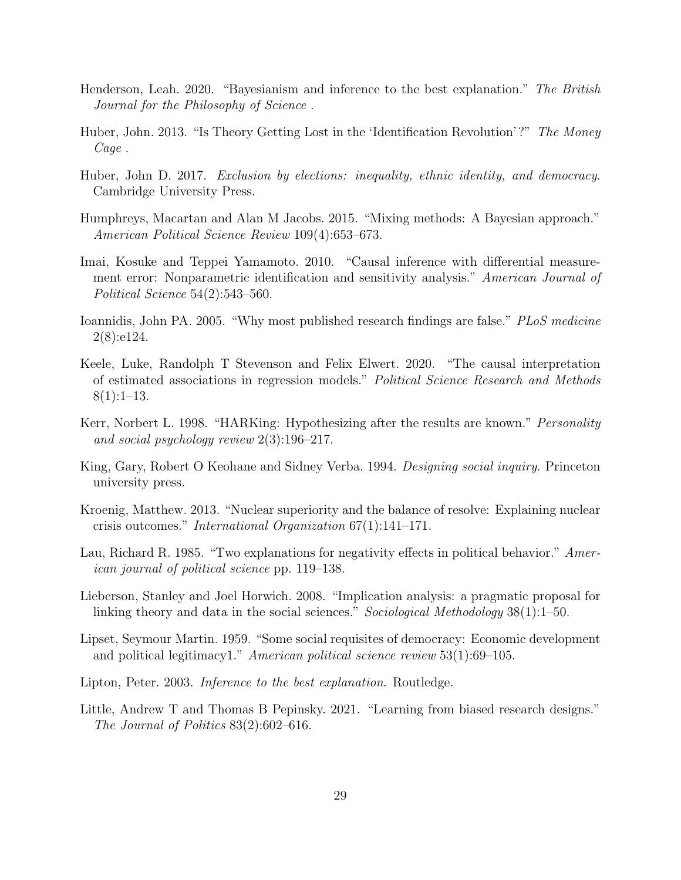- Henderson, Leah. 2020. "Bayesianism and inference to the best explanation." The British Journal for the Philosophy of Science .
- Huber, John. 2013. "Is Theory Getting Lost in the 'Identification Revolution'?" The Money Cage .
- Huber, John D. 2017. Exclusion by elections: inequality, ethnic identity, and democracy. Cambridge University Press.
- Humphreys, Macartan and Alan M Jacobs. 2015. "Mixing methods: A Bayesian approach." American Political Science Review 109(4):653–673.
- Imai, Kosuke and Teppei Yamamoto. 2010. "Causal inference with differential measurement error: Nonparametric identification and sensitivity analysis." American Journal of Political Science 54(2):543–560.
- Ioannidis, John PA. 2005. "Why most published research findings are false." PLoS medicine 2(8):e124.
- Keele, Luke, Randolph T Stevenson and Felix Elwert. 2020. "The causal interpretation of estimated associations in regression models." Political Science Research and Methods  $8(1):1-13.$
- Kerr, Norbert L. 1998. "HARKing: Hypothesizing after the results are known." *Personality* and social psychology review 2(3):196–217.
- King, Gary, Robert O Keohane and Sidney Verba. 1994. Designing social inquiry. Princeton university press.
- Kroenig, Matthew. 2013. "Nuclear superiority and the balance of resolve: Explaining nuclear crisis outcomes." International Organization 67(1):141–171.
- Lau, Richard R. 1985. "Two explanations for negativity effects in political behavior." American journal of political science pp. 119–138.
- Lieberson, Stanley and Joel Horwich. 2008. "Implication analysis: a pragmatic proposal for linking theory and data in the social sciences." Sociological Methodology 38(1):1–50.
- Lipset, Seymour Martin. 1959. "Some social requisites of democracy: Economic development and political legitimacy1." American political science review 53(1):69–105.
- Lipton, Peter. 2003. Inference to the best explanation. Routledge.
- Little, Andrew T and Thomas B Pepinsky. 2021. "Learning from biased research designs." The Journal of Politics 83(2):602–616.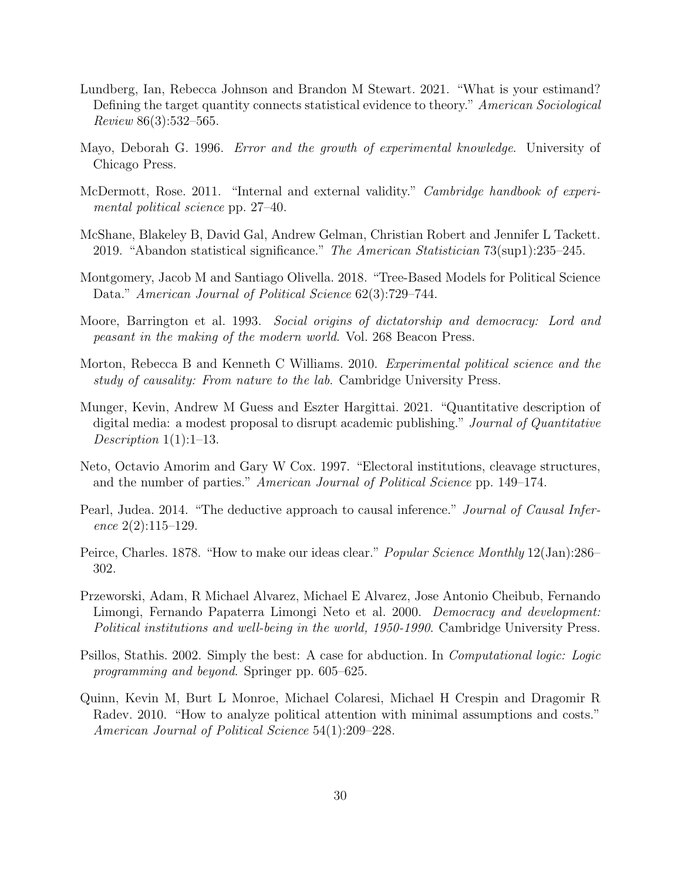- Lundberg, Ian, Rebecca Johnson and Brandon M Stewart. 2021. "What is your estimand? Defining the target quantity connects statistical evidence to theory." American Sociological Review 86(3):532–565.
- Mayo, Deborah G. 1996. Error and the growth of experimental knowledge. University of Chicago Press.
- McDermott, Rose. 2011. "Internal and external validity." *Cambridge handbook of experi*mental political science pp. 27–40.
- McShane, Blakeley B, David Gal, Andrew Gelman, Christian Robert and Jennifer L Tackett. 2019. "Abandon statistical significance." The American Statistician 73(sup1):235–245.
- Montgomery, Jacob M and Santiago Olivella. 2018. "Tree-Based Models for Political Science Data." American Journal of Political Science 62(3):729–744.
- Moore, Barrington et al. 1993. Social origins of dictatorship and democracy: Lord and peasant in the making of the modern world. Vol. 268 Beacon Press.
- Morton, Rebecca B and Kenneth C Williams. 2010. Experimental political science and the study of causality: From nature to the lab. Cambridge University Press.
- Munger, Kevin, Andrew M Guess and Eszter Hargittai. 2021. "Quantitative description of digital media: a modest proposal to disrupt academic publishing." Journal of Quantitative Description  $1(1):1-13$ .
- Neto, Octavio Amorim and Gary W Cox. 1997. "Electoral institutions, cleavage structures, and the number of parties." American Journal of Political Science pp. 149–174.
- Pearl, Judea. 2014. "The deductive approach to causal inference." *Journal of Causal Infer*ence 2(2):115–129.
- Peirce, Charles. 1878. "How to make our ideas clear." Popular Science Monthly 12(Jan):286– 302.
- Przeworski, Adam, R Michael Alvarez, Michael E Alvarez, Jose Antonio Cheibub, Fernando Limongi, Fernando Papaterra Limongi Neto et al. 2000. Democracy and development: Political institutions and well-being in the world, 1950-1990. Cambridge University Press.
- Psillos, Stathis. 2002. Simply the best: A case for abduction. In Computational logic: Logic programming and beyond. Springer pp. 605–625.
- Quinn, Kevin M, Burt L Monroe, Michael Colaresi, Michael H Crespin and Dragomir R Radev. 2010. "How to analyze political attention with minimal assumptions and costs." American Journal of Political Science 54(1):209–228.